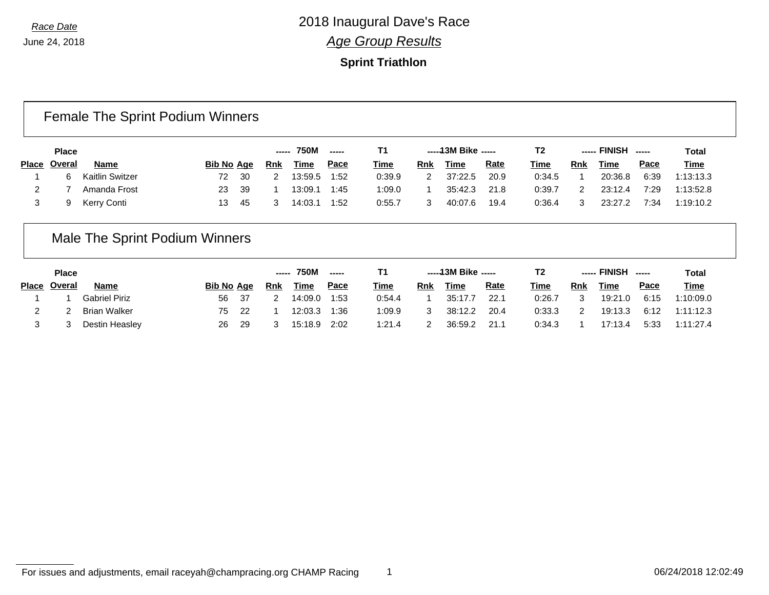### **Sprint Triathlon**

## Female The Sprint Podium Winners

| <b>Place</b> |                 |                   |     |     | ----- 750M  | $\sim$ $\sim$ $\sim$ |             |     | -----13M Bike ----- |             | T2          |     | ----- FINISH | ------ | Total       |
|--------------|-----------------|-------------------|-----|-----|-------------|----------------------|-------------|-----|---------------------|-------------|-------------|-----|--------------|--------|-------------|
| Place Overal | Name            | <b>Bib No Age</b> |     | Rnk | <u>Time</u> | <u>Pace</u>          | <u>Time</u> | Rnk | <u>Time</u>         | <b>Rate</b> | <b>Time</b> | Rnk | <b>Time</b>  | Pace   | <b>Time</b> |
|              | Kaitlin Switzer | 72                | -30 |     | 13:59.5     | 1:52                 | 0:39.9      |     | 37:22.5             | 20.9        | 0:34.5      |     | 20:36.8      | 6:39   | 1:13:13.3   |
|              | Amanda Frost    | 23                | -39 |     | 13:09.1     | 1:45                 | 1:09.0      |     | 35:42.3             | 21.8        | 0:39.7      |     | 23:12.4      | 7:29   | 1:13:52.8   |
|              | Kerry Conti     | 13                | 45  |     | 14:03.1     | 1:52                 | 0:55.7      |     | 40:07.6             | 19.4        | 0:36.4      |     | 23:27.2      | 7:34   | 1:19:10.2   |

## Male The Sprint Podium Winners

| <b>Place</b> |                     |                   |      | ------     | 750M    | $\frac{1}{2}$ |             |            | $---13M$ Bike $---$ |             | T2     |            | ----- FINISH | ------      | Total       |
|--------------|---------------------|-------------------|------|------------|---------|---------------|-------------|------------|---------------------|-------------|--------|------------|--------------|-------------|-------------|
| Place Overal | <b>Name</b>         | <b>Bib No Age</b> |      | <b>Rnk</b> | Time    | <u>Pace</u>   | <b>Time</b> | <b>Rnk</b> | Time                | <u>Rate</u> | Time   | <b>Rnk</b> | Time         | <u>Pace</u> | <b>Time</b> |
|              | Gabriel Piriz       | 56                | - 37 |            | 14:09.0 | 1:53          | 0:54.4      |            | 35:17.7             | 22.1        | 0:26.7 | 3          | 19:21.0      | 6:15        | 1:10:09.0   |
|              | <b>Brian Walker</b> | 75                | - 22 |            | 12:03.3 | 1:36          | :09.9       |            | 38:12.2             | 20.4        | 0:33.3 |            | 19:13.3      | 6:12        | 1:11:12.3   |
|              | Destin Heasley      | 26                | -29  |            | 15:18.9 | 2:02          | 1:21.4      |            | 36:59.2             | 21.         | 0:34.3 |            | 7:13.4       | 5:33        | 1:11:27.4   |

#### For issues and adjustments, email raceyah@champracing.org CHAMP Racing 1 06/24/2018 12:02:49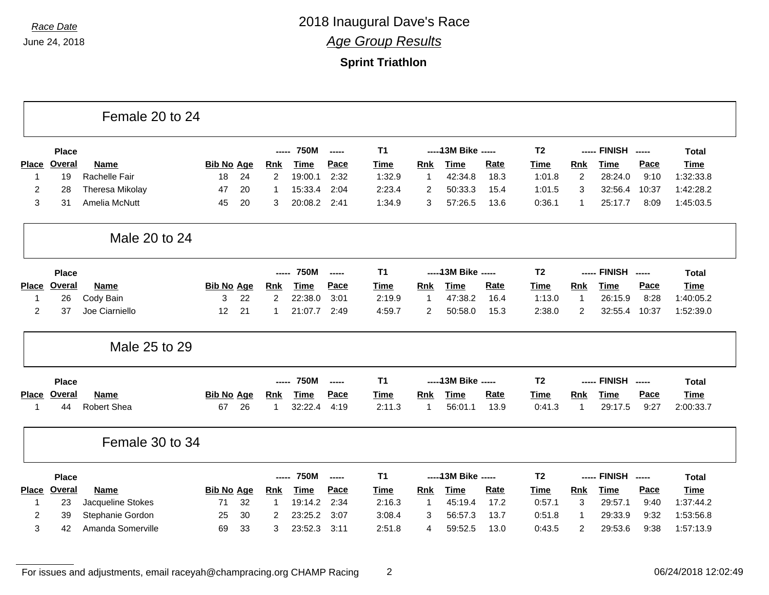### **Sprint Triathlon**

|                |               | Female 20 to 24    |                   |    |                |             |                          |             |                |                      |             |                |                |                    |       |              |
|----------------|---------------|--------------------|-------------------|----|----------------|-------------|--------------------------|-------------|----------------|----------------------|-------------|----------------|----------------|--------------------|-------|--------------|
|                | <b>Place</b>  |                    |                   |    | -----          | <b>750M</b> | $\overline{\phantom{a}}$ | <b>T1</b>   |                | ----- 13M Bike ----- |             | T <sub>2</sub> |                | ----- FINISH ----- |       | <b>Total</b> |
| <b>Place</b>   | Overal        | <b>Name</b>        | <b>Bib No Age</b> |    | <b>Rnk</b>     | <b>Time</b> | Pace                     | <b>Time</b> | <b>Rnk</b>     | <b>Time</b>          | Rate        | <b>Time</b>    | <b>Rnk</b>     | <b>Time</b>        | Pace  | <b>Time</b>  |
| $\mathbf 1$    | 19            | Rachelle Fair      | 18                | 24 | $\overline{2}$ | 19:00.1     | 2:32                     | 1:32.9      | $\mathbf{1}$   | 42:34.8              | 18.3        | 1:01.8         | 2              | 28:24.0            | 9:10  | 1:32:33.8    |
| $\overline{c}$ | 28            | Theresa Mikolay    | 47                | 20 |                | 15:33.4     | 2:04                     | 2:23.4      | $\overline{c}$ | 50:33.3              | 15.4        | 1:01.5         | 3              | 32:56.4            | 10:37 | 1:42:28.2    |
| 3              | 31            | Amelia McNutt      | 45                | 20 | 3              | 20:08.2     | 2:41                     | 1:34.9      | 3              | 57:26.5              | 13.6        | 0:36.1         | $\mathbf{1}$   | 25:17.7            | 8:09  | 1:45:03.5    |
|                |               | Male 20 to 24      |                   |    |                |             |                          |             |                |                      |             |                |                |                    |       |              |
|                | <b>Place</b>  |                    |                   |    |                | <b>750M</b> | $\overline{a}$           | <b>T1</b>   |                | ----- 13M Bike ----- |             | T <sub>2</sub> |                | ----- FINISH ----- |       | <b>Total</b> |
| <b>Place</b>   | Overal        | <b>Name</b>        | <b>Bib No Age</b> |    | <b>Rnk</b>     | <b>Time</b> | Pace                     | <b>Time</b> | <b>Rnk</b>     | <b>Time</b>          | Rate        | <b>Time</b>    | Rnk            | <b>Time</b>        | Pace  | <b>Time</b>  |
| -1             | 26            | Cody Bain          | 3                 | 22 | $\overline{2}$ | 22:38.0     | 3:01                     | 2:19.9      | $\mathbf{1}$   | 47:38.2              | 16.4        | 1:13.0         | $\mathbf{1}$   | 26:15.9            | 8:28  | 1:40:05.2    |
| $\overline{2}$ | 37            | Joe Ciarniello     | 12                | 21 |                | 21:07.7     | 2:49                     | 4:59.7      | 2              | 50:58.0              | 15.3        | 2:38.0         | $\overline{c}$ | 32:55.4            | 10:37 | 1:52:39.0    |
|                |               | Male 25 to 29      |                   |    |                |             |                          |             |                |                      |             |                |                |                    |       |              |
|                | <b>Place</b>  |                    |                   |    |                | <b>750M</b> | $\overline{\phantom{a}}$ | <b>T1</b>   |                | ----- 13M Bike ----- |             | T <sub>2</sub> |                | ----- FINISH ----- |       | <b>Total</b> |
| <b>Place</b>   | Overal        | <b>Name</b>        | <b>Bib No Age</b> |    | <b>Rnk</b>     | <b>Time</b> | Pace                     | <b>Time</b> | <b>Rnk</b>     | <b>Time</b>          | <b>Rate</b> | <b>Time</b>    | <b>Rnk</b>     | <b>Time</b>        | Pace  | <b>Time</b>  |
|                | 44            | <b>Robert Shea</b> | 67                | 26 | 1              | 32:22.4     | 4:19                     | 2:11.3      | $\mathbf 1$    | 56:01.1              | 13.9        | 0:41.3         | 1              | 29:17.5            | 9:27  | 2:00:33.7    |
|                |               | Female 30 to 34    |                   |    |                |             |                          |             |                |                      |             |                |                |                    |       |              |
|                | <b>Place</b>  |                    |                   |    | -----          | <b>750M</b> | $\overline{\phantom{a}}$ | <b>T1</b>   |                | ----- 13M Bike ----- |             | T <sub>2</sub> |                | ----- FINISH ----- |       | <b>Total</b> |
| <b>Place</b>   | <b>Overal</b> | <b>Name</b>        | <b>Bib No Age</b> |    | <b>Rnk</b>     | <b>Time</b> | Pace                     | Time        | Rnk            | <b>Time</b>          | Rate        | <b>Time</b>    | Rnk            | <b>Time</b>        | Pace  | <b>Time</b>  |
|                | 23            | Jacqueline Stokes  | 71                | 32 | 1              | 19:14.2     | 2:34                     | 2:16.3      | $\mathbf{1}$   | 45:19.4              | 17.2        | 0:57.1         | 3              | 29:57.1            | 9:40  | 1:37:44.2    |
| 2              | 39            | Stephanie Gordon   | 25                | 30 | 2              | 23:25.2     | 3:07                     | 3:08.4      | 3              | 56:57.3              | 13.7        | 0:51.8         | $\mathbf{1}$   | 29:33.9            | 9:32  | 1:53:56.8    |
| 3              | 42            | Amanda Somerville  | 69                | 33 | 3              | 23:52.3     | 3:11                     | 2:51.8      | $\overline{4}$ | 59:52.5              | 13.0        | 0:43.5         | 2              | 29:53.6            | 9:38  | 1:57:13.9    |

For issues and adjustments, email raceyah@champracing.org CHAMP Racing 2 06/24/2018 12:02:49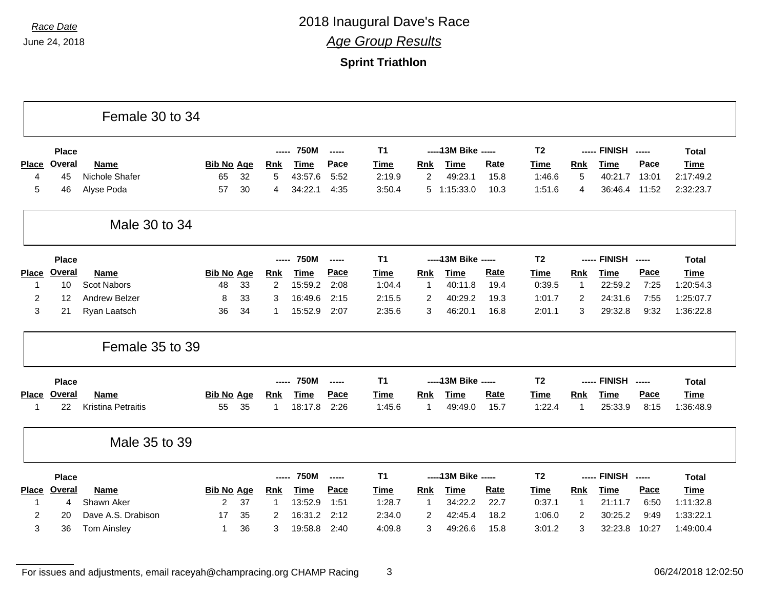### **Sprint Triathlon**

|                |               | Female 30 to 34           |                   |    |               |             |               |                |                |                      |             |                |                |                    |                          |              |
|----------------|---------------|---------------------------|-------------------|----|---------------|-------------|---------------|----------------|----------------|----------------------|-------------|----------------|----------------|--------------------|--------------------------|--------------|
|                | <b>Place</b>  |                           |                   |    | -----         | <b>750M</b> | $\frac{1}{2}$ | <b>T1</b>      |                | ----- 13M Bike ----- |             | <b>T2</b>      |                | ----- FINISH ----- |                          | <b>Total</b> |
| <b>Place</b>   | <b>Overal</b> | <b>Name</b>               | <b>Bib No Age</b> |    | <b>Rnk</b>    | <b>Time</b> | Pace          | <b>Time</b>    | <b>Rnk</b>     | <b>Time</b>          | <b>Rate</b> | <b>Time</b>    | <b>Rnk</b>     | <b>Time</b>        | Pace                     | <b>Time</b>  |
| 4              | 45            | Nichole Shafer            | 65                | 32 | 5             | 43:57.6     | 5:52          | 2:19.9         | $\overline{2}$ | 49:23.1              | 15.8        | 1:46.6         | 5              | 40:21.7            | 13:01                    | 2:17:49.2    |
| 5              | 46            | Alyse Poda                | 57                | 30 | 4             | 34:22.1     | 4:35          | 3:50.4         | 5              | 1:15:33.0            | 10.3        | 1:51.6         | 4              | 36:46.4            | 11:52                    | 2:32:23.7    |
|                |               | Male 30 to 34             |                   |    |               |             |               |                |                |                      |             |                |                |                    |                          |              |
|                | <b>Place</b>  |                           |                   |    | -----         | <b>750M</b> | -----         | <b>T1</b>      |                | ----- 13M Bike ----- |             | <b>T2</b>      |                | ----- FINISH       | $\overline{\phantom{a}}$ | <b>Total</b> |
| <b>Place</b>   | <b>Overal</b> | <b>Name</b>               | <b>Bib No Age</b> |    | <b>Rnk</b>    | <b>Time</b> | Pace          | <b>Time</b>    | <b>Rnk</b>     | <b>Time</b>          | <b>Rate</b> | <b>Time</b>    | <b>Rnk</b>     | <b>Time</b>        | Pace                     | <b>Time</b>  |
| 1              | 10            | <b>Scot Nabors</b>        | 48                | 33 | 2             | 15:59.2     | 2:08          | 1:04.4         | $\mathbf{1}$   | 40:11.8              | 19.4        | 0:39.5         | $\mathbf{1}$   | 22:59.2            | 7:25                     | 1:20:54.3    |
| $\overline{c}$ | 12            | <b>Andrew Belzer</b>      | 8                 | 33 | 3             | 16:49.6     | 2:15          | 2:15.5         | $\overline{c}$ | 40:29.2              | 19.3        | 1:01.7         | $\overline{c}$ | 24:31.6            | 7:55                     | 1:25:07.7    |
| 3              | 21            | Ryan Laatsch              | 36                | 34 | -1            | 15:52.9     | 2:07          | 2:35.6         | 3              | 46:20.1              | 16.8        | 2:01.1         | 3              | 29:32.8            | 9:32                     | 1:36:22.8    |
|                |               | Female 35 to 39           |                   |    |               |             |               |                |                |                      |             |                |                |                    |                          |              |
|                | <b>Place</b>  |                           |                   |    |               | <b>750M</b> | -----         | T <sub>1</sub> |                | ----- 13M Bike ----- |             | T <sub>2</sub> |                | ----- FINISH ----- |                          | <b>Total</b> |
|                | Place Overal  | <b>Name</b>               | <b>Bib No Age</b> |    | <b>Rnk</b>    | <b>Time</b> | Pace          | <b>Time</b>    | Rnk            | <b>Time</b>          | Rate        | <b>Time</b>    | <b>Rnk</b>     | <b>Time</b>        | Pace                     | <b>Time</b>  |
| 1              | 22            | <b>Kristina Petraitis</b> | 55                | 35 | 1             | 18:17.8     | 2:26          | 1:45.6         | $\overline{1}$ | 49:49.0              | 15.7        | 1:22.4         | -1             | 25:33.9            | 8:15                     | 1:36:48.9    |
|                |               | Male 35 to 39             |                   |    |               |             |               |                |                |                      |             |                |                |                    |                          |              |
|                | <b>Place</b>  |                           |                   |    | $\frac{1}{2}$ | <b>750M</b> | -----         | <b>T1</b>      |                | ----- 13M Bike ----- |             | T <sub>2</sub> |                | ----- FINISH ----- |                          | <b>Total</b> |
|                | Place Overal  | <b>Name</b>               | <b>Bib No Age</b> |    | <b>Rnk</b>    | <b>Time</b> | Pace          | Time           | Rnk            | <b>Time</b>          | Rate        | <b>Time</b>    | <b>Rnk</b>     | <b>Time</b>        | Pace                     | <b>Time</b>  |
| -1             | 4             | Shawn Aker                | 2                 | 37 | -1            | 13:52.9     | 1:51          | 1:28.7         | $\mathbf 1$    | 34:22.2              | 22.7        | 0:37.1         | -1             | 21:11.7            | 6:50                     | 1:11:32.8    |
|                |               |                           |                   |    |               |             |               |                |                |                      |             |                |                |                    |                          |              |
| 2              | 20            | Dave A.S. Drabison        | 17                | 35 | 2             | 16:31.2     | 2:12          | 2:34.0         | 2              | 42:45.4              | 18.2        | 1:06.0         | $\overline{2}$ | 30:25.2            | 9:49                     | 1:33:22.1    |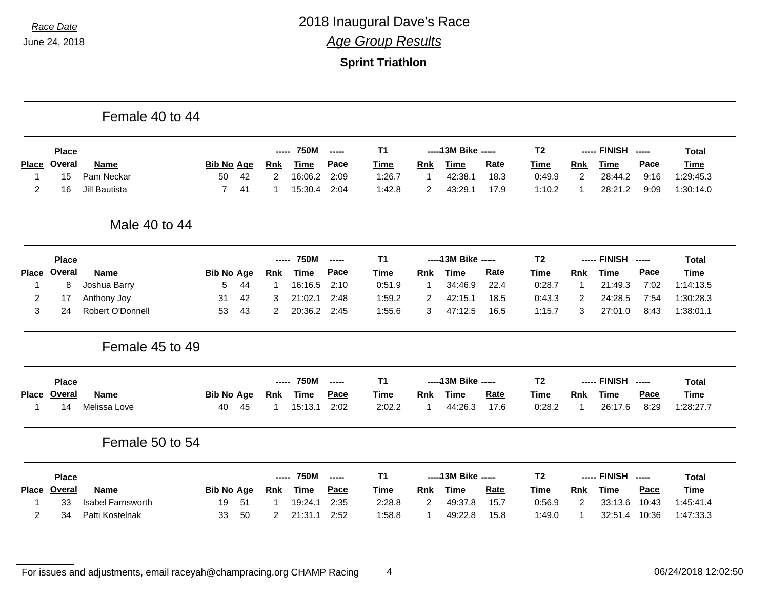### **Sprint Triathlon**

|                  |               | Female 40 to 44          |                   |    |                |             |                          |                |                |                      |             |                |                |                    |                          |              |
|------------------|---------------|--------------------------|-------------------|----|----------------|-------------|--------------------------|----------------|----------------|----------------------|-------------|----------------|----------------|--------------------|--------------------------|--------------|
|                  | <b>Place</b>  |                          |                   |    | -----          | <b>750M</b> | $\overline{\phantom{a}}$ | T <sub>1</sub> |                | ----- 13M Bike ----- |             | T <sub>2</sub> |                | ----- FINISH       | $\overline{\phantom{a}}$ | <b>Total</b> |
| <b>Place</b>     | <b>Overal</b> | <b>Name</b>              | <b>Bib No Age</b> |    | <b>Rnk</b>     | <b>Time</b> | Pace                     | <b>Time</b>    | <b>Rnk</b>     | <b>Time</b>          | <b>Rate</b> | <b>Time</b>    | Rnk            | <b>Time</b>        | Pace                     | Time         |
| 1                | 15            | Pam Neckar               | 50                | 42 | $\overline{2}$ | 16:06.2     | 2:09                     | 1:26.7         | $\mathbf 1$    | 42:38.1              | 18.3        | 0:49.9         | $\overline{2}$ | 28:44.2            | 9:16                     | 1:29:45.3    |
| $\overline{c}$   | 16            | <b>Jill Bautista</b>     | $\overline{7}$    | 41 | 1              | 15:30.4     | 2:04                     | 1:42.8         | $\overline{2}$ | 43:29.1              | 17.9        | 1:10.2         | $\mathbf 1$    | 28:21.2            | 9:09                     | 1:30:14.0    |
|                  |               | Male 40 to 44            |                   |    |                |             |                          |                |                |                      |             |                |                |                    |                          |              |
|                  | <b>Place</b>  |                          |                   |    | -----          | <b>750M</b> | $\overline{a}$           | T <sub>1</sub> |                | ----- 13M Bike ----- |             | T <sub>2</sub> |                | ----- FINISH       | $\overline{\phantom{a}}$ | <b>Total</b> |
| <b>Place</b>     | <b>Overal</b> | Name                     | <b>Bib No Age</b> |    | <b>Rnk</b>     | <b>Time</b> | Pace                     | <b>Time</b>    | Rnk            | <b>Time</b>          | Rate        | <b>Time</b>    | Rnk            | <b>Time</b>        | Pace                     | <b>Time</b>  |
| -1               | 8             | Joshua Barry             | 5                 | 44 | 1              | 16:16.5     | 2:10                     | 0:51.9         | $\mathbf{1}$   | 34:46.9              | 22.4        | 0:28.7         | $\mathbf{1}$   | 21:49.3            | 7:02                     | 1:14:13.5    |
| $\boldsymbol{2}$ | 17            | Anthony Joy              | 31                | 42 | 3              | 21:02.1     | 2:48                     | 1:59.2         | $\overline{2}$ | 42:15.1              | 18.5        | 0:43.3         | $\overline{c}$ | 24:28.5            | 7:54                     | 1:30:28.3    |
| 3                | 24            | Robert O'Donnell         | 53                | 43 | $\overline{2}$ | 20:36.2     | 2:45                     | 1:55.6         | 3              | 47:12.5              | 16.5        | 1:15.7         | 3              | 27:01.0            | 8:43                     | 1:38:01.1    |
|                  |               | Female 45 to 49          |                   |    |                |             |                          |                |                |                      |             |                |                |                    |                          |              |
|                  | Place         |                          |                   |    | ------         | <b>750M</b> | -----                    | T <sub>1</sub> |                | ----- 13M Bike ----- |             | T <sub>2</sub> |                | ----- FINISH       | $---$                    | <b>Total</b> |
| <b>Place</b>     | <b>Overal</b> | <b>Name</b>              | <b>Bib No Age</b> |    | <b>Rnk</b>     | <b>Time</b> | Pace                     | <b>Time</b>    | <b>Rnk</b>     | <b>Time</b>          | Rate        | Time           | Rnk            | <b>Time</b>        | Pace                     | <b>Time</b>  |
| 1                | 14            | Melissa Love             | 40                | 45 |                | 15:13.1     | 2:02                     | 2:02.2         | 1              | 44:26.3              | 17.6        | 0:28.2         | $\mathbf 1$    | 26:17.6            | 8:29                     | 1:28:27.7    |
|                  |               | Female 50 to 54          |                   |    |                |             |                          |                |                |                      |             |                |                |                    |                          |              |
|                  | <b>Place</b>  |                          |                   |    | -----          | <b>750M</b> | -----                    | T <sub>1</sub> |                | ----- 13M Bike ----- |             | T <sub>2</sub> |                | ----- FINISH ----- |                          | <b>Total</b> |
|                  | Place Overal  | <b>Name</b>              | <b>Bib No Age</b> |    | <b>Rnk</b>     | <b>Time</b> | Pace                     | <b>Time</b>    | Rnk            | <b>Time</b>          | Rate        | <b>Time</b>    | <b>Rnk</b>     | <b>Time</b>        | Pace                     | <b>Time</b>  |
| -1               | 33            | <b>Isabel Farnsworth</b> | 19                | 51 | -1             | 19:24.1     | 2:35                     | 2:28.8         | 2              | 49:37.8              | 15.7        | 0:56.9         | 2              | 33:13.6            | 10:43                    | 1:45:41.4    |
| 2                | 34            | Patti Kostelnak          | 33                | 50 | 2              | 21:31.1     | 2:52                     | 1:58.8         |                | 49:22.8              | 15.8        | 1:49.0         | -1             | 32:51.4            | 10:36                    | 1:47:33.3    |

For issues and adjustments, email raceyah@champracing.org CHAMP Racing 4 06/24/2018 12:02:50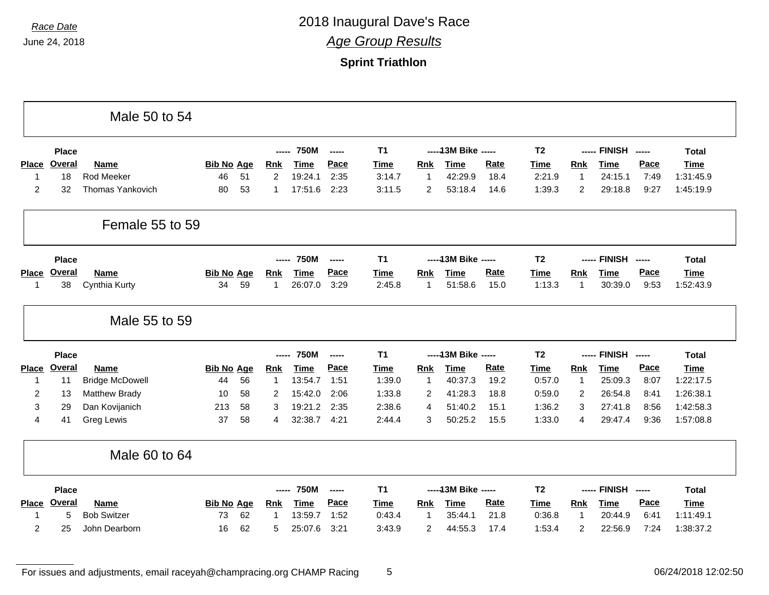### **Sprint Triathlon**

|                   |               | Male 50 to 54           |                   |    |                |             |        |                |                |                      |             |                |                |                    |      |                                     |
|-------------------|---------------|-------------------------|-------------------|----|----------------|-------------|--------|----------------|----------------|----------------------|-------------|----------------|----------------|--------------------|------|-------------------------------------|
|                   | <b>Place</b>  |                         |                   |    | -----          | <b>750M</b> | -----  | T <sub>1</sub> |                | ----- 13M Bike ----- |             | T <sub>2</sub> |                | ----- FINISH ----- |      | <b>Total</b>                        |
| <b>Place</b>      | <b>Overal</b> | <b>Name</b>             | <b>Bib No Age</b> |    | <b>Rnk</b>     | <b>Time</b> | Pace   | <b>Time</b>    | <b>Rnk</b>     | <b>Time</b>          | <b>Rate</b> | <b>Time</b>    | <b>Rnk</b>     | <b>Time</b>        | Pace | <b>Time</b>                         |
| $\mathbf{1}$      | 18            | <b>Rod Meeker</b>       | 46                | 51 | $\overline{2}$ | 19:24.1     | 2:35   | 3:14.7         | $\overline{1}$ | 42:29.9              | 18.4        | 2:21.9         | $\mathbf{1}$   | 24:15.1            | 7:49 | 1:31:45.9                           |
| $\overline{c}$    | 32            | <b>Thomas Yankovich</b> | 80                | 53 | 1              | 17:51.6     | 2:23   | 3:11.5         | 2              | 53:18.4              | 14.6        | 1:39.3         | $\overline{c}$ | 29:18.8            | 9:27 | 1:45:19.9                           |
|                   |               | Female 55 to 59         |                   |    |                |             |        |                |                |                      |             |                |                |                    |      |                                     |
|                   | <b>Place</b>  |                         |                   |    | -----          | <b>750M</b> | ------ | T <sub>1</sub> |                | ----- 13M Bike ----- |             | T <sub>2</sub> |                | ----- FINISH ----- |      | <b>Total</b>                        |
| <b>Place</b>      | Overal        | <b>Name</b>             | <b>Bib No Age</b> |    | <b>Rnk</b>     | <b>Time</b> | Pace   | <b>Time</b>    | Rnk            | <b>Time</b>          | Rate        | <b>Time</b>    | <b>Rnk</b>     | <b>Time</b>        | Pace | <b>Time</b>                         |
| 1                 | 38            | Cynthia Kurty           | 34                | 59 | $\mathbf{1}$   | 26:07.0     | 3:29   | 2:45.8         | $\mathbf{1}$   | 51:58.6              | 15.0        | 1:13.3         | 1              | 30:39.0            | 9:53 | 1:52:43.9                           |
|                   |               | Male 55 to 59           |                   |    |                |             |        |                |                |                      |             |                |                |                    |      |                                     |
|                   |               |                         |                   |    |                |             |        |                |                |                      |             |                |                |                    |      |                                     |
|                   | <b>Place</b>  |                         |                   |    | -----          | <b>750M</b> | ------ | T <sub>1</sub> |                | ----- 13M Bike ----- |             | T <sub>2</sub> |                | ----- FINISH ----- |      | <b>Total</b>                        |
|                   | Place Overal  | <b>Name</b>             | <b>Bib No Age</b> |    | <b>Rnk</b>     | <b>Time</b> | Pace   | <b>Time</b>    | <b>Rnk</b>     | <b>Time</b>          | Rate        | <b>Time</b>    | <b>Rnk</b>     | <b>Time</b>        | Pace | <b>Time</b>                         |
| $\mathbf 1$       | 11            | <b>Bridge McDowell</b>  | 44                | 56 | -1             | 13:54.7     | 1:51   | 1:39.0         | $\overline{1}$ | 40:37.3              | 19.2        | 0:57.0         | $\overline{1}$ | 25:09.3            | 8:07 |                                     |
| 2                 | 13            | <b>Matthew Brady</b>    | 10                | 58 | 2              | 15:42.0     | 2:06   | 1:33.8         | 2              | 41:28.3              | 18.8        | 0:59.0         | $\overline{2}$ | 26:54.8            | 8:41 | 1:22:17.5<br>1:26:38.1              |
| 3                 | 29            | Dan Kovijanich          | 213               | 58 | 3              | 19:21.2     | 2:35   | 2:38.6         | 4              | 51:40.2              | 15.1        | 1:36.2         | 3              | 27:41.8            | 8:56 |                                     |
| 4                 | 41            | Greg Lewis              | 37                | 58 | 4              | 32:38.7     | 4:21   | 2:44.4         | 3              | 50:25.2              | 15.5        | 1:33.0         | 4              | 29:47.4            | 9:36 |                                     |
|                   |               | Male 60 to 64           |                   |    |                |             |        |                |                |                      |             |                |                |                    |      |                                     |
|                   | <b>Place</b>  |                         |                   |    | -----          | <b>750M</b> | ------ | T <sub>1</sub> |                | ----- 13M Bike ----- |             | T <sub>2</sub> |                | ----- FINISH ----- |      | <b>Total</b>                        |
|                   | <b>Overal</b> | Name                    | <b>Bib No Age</b> |    | Rnk            | <b>Time</b> | Pace   | <b>Time</b>    | <b>Rnk</b>     | <b>Time</b>          | <b>Rate</b> | <b>Time</b>    | Rnk            | <b>Time</b>        | Pace | <b>Time</b>                         |
| <b>Place</b><br>1 | 5             | <b>Bob Switzer</b>      | 73                | 62 |                | 13:59.7     | 1:52   | 0:43.4         | $\overline{1}$ | 35:44.1              | 21.8        | 0:36.8         | $\overline{1}$ | 20:44.9            | 6:41 | 1:42:58.3<br>1:57:08.8<br>1:11:49.1 |

For issues and adjustments, email raceyah@champracing.org CHAMP Racing 5 06/24/2018 12:02:50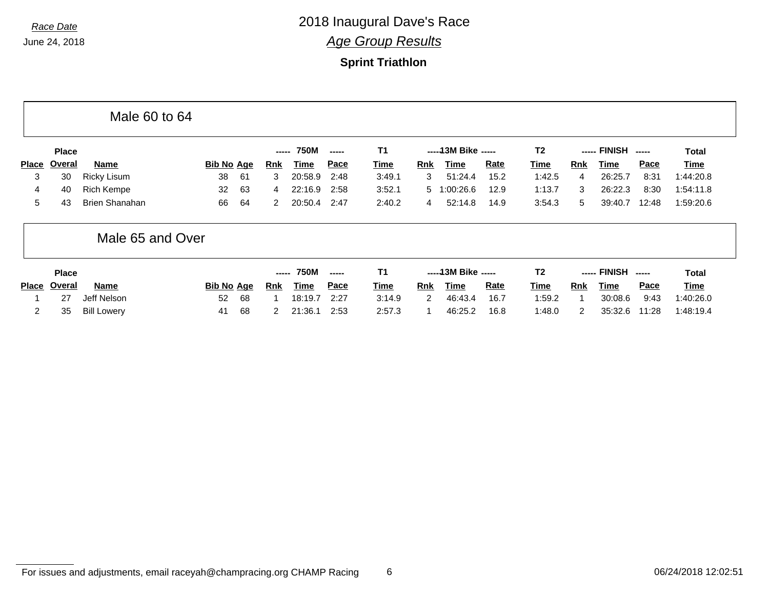### **Sprint Triathlon**

|                |               | Male 60 to 64         |                   |    |        |             |       |             |                |                      |      |                |            |              |             |             |
|----------------|---------------|-----------------------|-------------------|----|--------|-------------|-------|-------------|----------------|----------------------|------|----------------|------------|--------------|-------------|-------------|
|                | <b>Place</b>  |                       |                   |    | -----  | <b>750M</b> | ----- | T1          |                | $---13M$ Bike $---$  |      | T <sub>2</sub> |            | ----- FINISH |             | Total       |
| <b>Place</b>   | Overal        | Name                  | <b>Bib No Age</b> |    | Rnk    | <b>Time</b> | Pace  | <b>Time</b> | Rnk            | Time                 | Rate | <u>Time</u>    | <b>Rnk</b> | Time         | <b>Pace</b> | <u>Time</u> |
| 3              | 30            | <b>Ricky Lisum</b>    | 38                | 61 | 3      | 20:58.9     | 2:48  | 3:49.1      | 3              | 51:24.4              | 15.2 | 1:42.5         | 4          | 26:25.7      | 8:31        | 1:44:20.8   |
| 4              | 40            | <b>Rich Kempe</b>     | 32                | 63 | 4      | 22:16.9     | 2:58  | 3:52.1      | 5 <sub>1</sub> | :00:26.6             | 12.9 | 1:13.7         | 3          | 26:22.3      | 8:30        | 1:54:11.8   |
| 5              | 43            | <b>Brien Shanahan</b> | 66                | 64 | 2      | 20:50.4     | 2:47  | 2:40.2      | $\overline{4}$ | 52:14.8              | 14.9 | 3:54.3         | 5          | 39:40.7      | 12:48       | 1:59:20.6   |
|                |               | Male 65 and Over      |                   |    |        |             |       |             |                |                      |      |                |            |              |             |             |
|                | <b>Place</b>  |                       |                   |    | ------ | <b>750M</b> | ----- | <b>T1</b>   |                | ----- 13M Bike ----- |      | T <sub>2</sub> |            | ----- FINISH | $- - - - -$ | Total       |
| Place          | <u>Overal</u> | Name                  | <b>Bib No Age</b> |    | Rnk    | Time        | Pace  | <b>Time</b> | <b>Rnk</b>     | <b>Time</b>          | Rate | <u>Time</u>    | <b>Rnk</b> | <b>Time</b>  | <u>Pace</u> | <u>Time</u> |
|                | 27            | Jeff Nelson           | 52                | 68 |        | 18:19.7     | 2:27  | 3:14.9      | 2              | 46:43.4              | 16.7 | 1:59.2         |            | 30:08.6      | 9:43        | 1:40:26.0   |
| $\overline{2}$ | 35            | <b>Bill Lowery</b>    | 41                | 68 | 2      | 21:36.1     | 2:53  | 2:57.3      |                | 46:25.2              | 16.8 | 1:48.0         | 2          | 35:32.6      | 11:28       | 1:48:19.4   |

```
For issues and adjustments, email raceyah@champracing.org CHAMP Racing 6 06/25 06/24/2018 12:02:51
```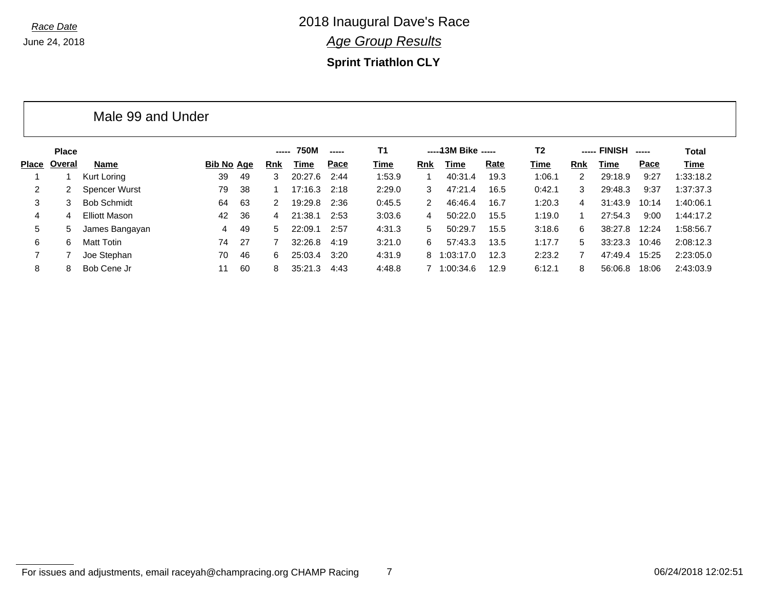**Sprint Triathlon CLY**

|       |              | Male 99 and Under    |            |     |       |         |             |           |               |                      |      |                |     |              |       |           |
|-------|--------------|----------------------|------------|-----|-------|---------|-------------|-----------|---------------|----------------------|------|----------------|-----|--------------|-------|-----------|
|       | <b>Place</b> |                      |            |     | ----- | 750M    | $- - - - -$ | <b>T1</b> |               | ----- 13M Bike ----- |      | T <sub>2</sub> |     | ----- FINISH |       | Total     |
| Place | Overal       | Name                 | Bib No Age |     | Rnk   | Time    | Pace        | Time      | Rnk           | Time                 | Rate | Time           | Rnk | Time         | Pace  | Time      |
|       |              | Kurt Loring          | 39         | 49  | 3     | 20:27.6 | 2:44        | 1:53.9    |               | 40:31.4              | 19.3 | 1:06.1         | 2   | 29:18.9      | 9:27  | 1:33:18.2 |
| 2     |              | <b>Spencer Wurst</b> | 79         | 38  |       | 17:16.3 | 2:18        | 2:29.0    | 3             | 47:21.4              | 16.5 | 0:42.1         | 3   | 29:48.3      | 9:37  | 1:37:37.3 |
| 3     | 3            | <b>Bob Schmidt</b>   | 64         | 63  | 2     | 19:29.8 | 2:36        | 0:45.5    | $\mathcal{P}$ | 46:46.4              | 16.7 | 1:20.3         | 4   | 31:43.9      | 10:14 | 1:40:06.1 |
| 4     | 4            | <b>Elliott Mason</b> | 42         | 36  | 4     | 21:38.1 | 2:53        | 3:03.6    | 4             | 50:22.0              | 15.5 | 1:19.0         |     | 27:54.3      | 9:00  | 1:44:17.2 |
| 5     | 5.           | James Bangayan       | 4          | 49  | 5.    | 22:09.1 | 2:57        | 4:31.3    | 5             | 50:29.7              | 15.5 | 3:18.6         | 6   | 38:27.8      | 12:24 | 1:58:56.7 |
| 6     | 6            | Matt Totin           | 74         | -27 |       | 32:26.8 | 4:19        | 3:21.0    | 6             | 57:43.3              | 13.5 | 1:17.7         | 5   | 33:23.3      | 10:46 | 2:08:12.3 |
|       |              | Joe Stephan          | 70         | 46  | 6.    | 25:03.4 | 3:20        | 4:31.9    | 8             | 1:03:17.0            | 12.3 | 2:23.2         |     | 47:49.4      | 15:25 | 2:23:05.0 |
| 8     | 8            | Bob Cene Jr          | 11         | 60  | 8     | 35:21.3 | 4:43        | 4:48.8    |               | 1:00:34.6            | 12.9 | 6:12.1         | 8   | 56:06.8      | 18:06 | 2:43:03.9 |

#### For issues and adjustments, email raceyah@champracing.org CHAMP Racing 7 06/24/2018 12:02:51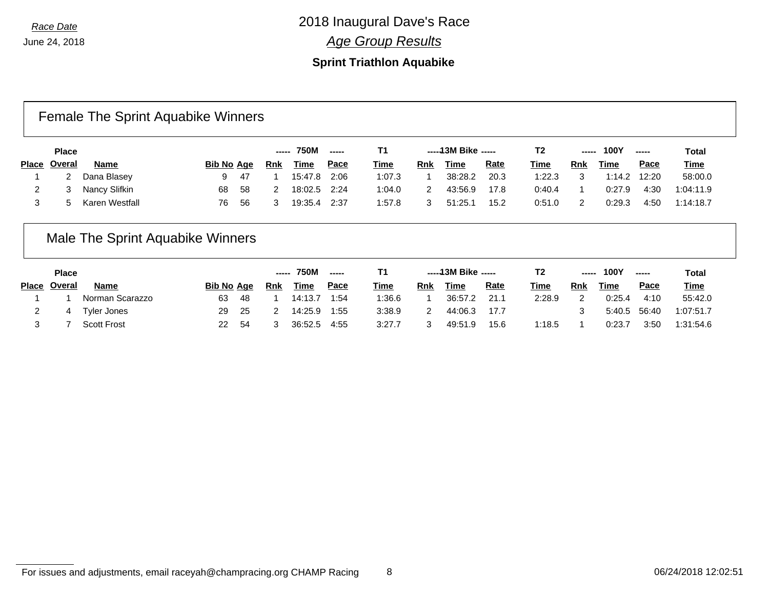#### **Sprint Triathlon Aquabike**

## Female The Sprint Aquabike Winners

|       | <b>Place</b> |                |            |     | -----      | <b>750M</b> |             | Τ1          |     | -----13M Bike ----- |             | Τ2          | ----- | <b>100Y</b> |             | Total       |
|-------|--------------|----------------|------------|-----|------------|-------------|-------------|-------------|-----|---------------------|-------------|-------------|-------|-------------|-------------|-------------|
| Place | Overal       | <b>Name</b>    | Bib No Age |     | <b>Rnk</b> | <u>Time</u> | <u>Pace</u> | <u>Time</u> | Rnk | <b>Time</b>         | <u>Rate</u> | <b>Time</b> | Rnk   | <b>Time</b> | <u>Pace</u> | <b>Time</b> |
|       |              | Dana Blasey    | 9          | -47 |            | 15:47.8     | 2:06        | 1:07.3      |     | 38:28.2             | 20.3        | 1:22.3      |       | 1:14.2      | 12:20       | 58:00.0     |
|       |              | Nancy Slifkin  | 68         | 58  |            | 18:02.5     | 2:24        | 1:04.0      |     | 43:56.9             | 17.8        | 0:40.4      |       | 0:27.9      | 4:30        | 1:04:11.9   |
|       |              | Karen Westfall | 76         | -56 |            | 19:35.4     | 2:37        | 1:57.8      |     | 51:25.1             | 15.2        | 0:51.0      | 2     | 0:29.3      | 4:50        | 1:14:18.7   |

## Male The Sprint Aquabike Winners

| <b>Place</b> |                    |                   |     | ------ | <b>750M</b> |             |             |            | -----13M Bike ----- |             | T <sub>2</sub> | ----- | <b>100Y</b> |             | <b>Total</b> |
|--------------|--------------------|-------------------|-----|--------|-------------|-------------|-------------|------------|---------------------|-------------|----------------|-------|-------------|-------------|--------------|
| Place Overal | Name               | <b>Bib No Age</b> |     | Rnk    | <u>Time</u> | <u>Pace</u> | <b>Time</b> | <b>Rnk</b> | <u>Time</u>         | <u>Rate</u> | <u>Time</u>    | Rnk   | <u>Time</u> | <u>Pace</u> | <b>Time</b>  |
|              | Norman Scarazzo    | 63                | -48 |        | 14:13.7     | 1:54        | 1:36.6      |            | 36:57.2             | 21.1        | 2:28.9         | っ     | 0:25.4      | 4:10        | 55:42.0      |
| 4            | <b>Tyler Jones</b> | 29                | -25 |        | 14:25.9     | 1:55        | 3:38.9      |            | 44:06.3             | 17.7        |                |       | 5:40.5      | 56:40       | 1:07:51.7    |
|              | <b>Scott Frost</b> | 22                | -54 |        | 36:52.5     | 4:55        | 3:27.7      |            | 49:51.9             | 15.6        | 1:18.5         |       | 0:23.7      | 3:50        | 1:31:54.6    |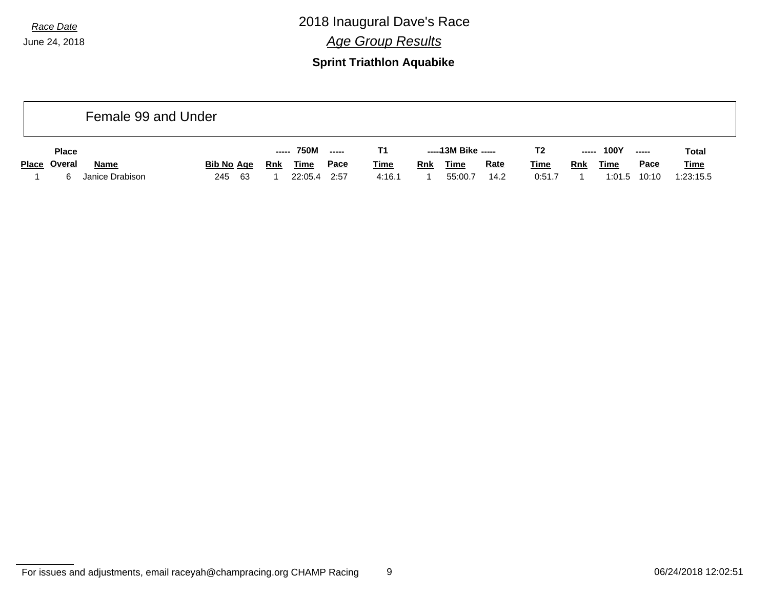### **Sprint Triathlon Aquabike**

|              | Female 99 and Under |             |            |             |             |             |            |                     |             |             |            |             |             |             |
|--------------|---------------------|-------------|------------|-------------|-------------|-------------|------------|---------------------|-------------|-------------|------------|-------------|-------------|-------------|
| <b>Place</b> |                     |             | -----      | 750M        | $---$       | Τ1          |            | -----13M Bike ----- |             | T2          | -----      | <b>100Y</b> |             | Total       |
| Place Overal | Name                | Bib No Age  | <b>Rnk</b> | <b>Time</b> | <u>Pace</u> | <b>Time</b> | <b>Rnk</b> | <b>Time</b>         | <b>Rate</b> | <u>Time</u> | <b>Rnk</b> | <b>Time</b> | <b>Pace</b> | <b>Time</b> |
|              | Janice Drabison     | - 63<br>245 |            | 22:05.4     | 2:57        | 4:16.1      |            | 55:00.7             | 14.2        | 0:51.7      |            | 1:01.5      | 10:10       | 1:23:15.5   |

For issues and adjustments, email raceyah@champracing.org CHAMP Racing 9 06/24/2018 12:02:51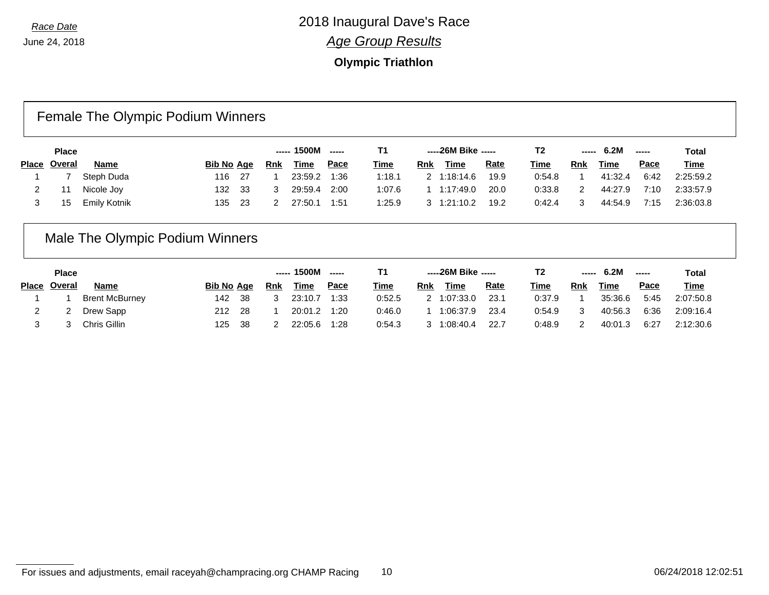### **Olympic Triathlon**

## Female The Olympic Podium Winners

| <b>Place</b> |              |                   |      |     | ----- 1500M | $\frac{1}{2}$ | Т1          |     | -----26M Bike ----- |             | T2          | ------ | 6.2M        | $\frac{1}{2}$ | Total       |
|--------------|--------------|-------------------|------|-----|-------------|---------------|-------------|-----|---------------------|-------------|-------------|--------|-------------|---------------|-------------|
| Place Overal | <b>Name</b>  | <b>Bib No Age</b> |      | Rnk | <u>Time</u> | <u>Pace</u>   | <u>Time</u> | Rnk | <b>Time</b>         | <b>Rate</b> | <u>Time</u> | Rnk    | <b>Time</b> | Pace          | <b>Time</b> |
|              | Steph Duda   | 116               | - 27 |     | 23:59.2     | 1:36          | 1:18.1      |     | 1:18:14.6           | 19.9        | 0:54.8      |        | 41:32.4     | 6:42          | 2:25:59.2   |
|              | Nicole Joy   | 132.              | - 33 |     | 29:59.4     | 2:00          | 1:07.6      |     | 1:17:49.0           | 20.0        | 0:33.8      |        | 44:27.9     | 7:10          | 2:33:57.9   |
|              | Emily Kotnik | 135               | -23  |     | 27:50.1     | 1:51          | 1:25.9      |     | 1:21:10.2           | 19.2        | 0:42.4      |        | 44:54.9     | 7:15          | 2:36:03.8   |

## Male The Olympic Podium Winners

| <b>Place</b> |                       |                   |     | ----- 1500M | ------      |             |             | -----26M Bike ----- |             | T2          |        | 6.2M       | -----   | Total       |             |
|--------------|-----------------------|-------------------|-----|-------------|-------------|-------------|-------------|---------------------|-------------|-------------|--------|------------|---------|-------------|-------------|
| Place Overal | Name                  | <b>Bib No Age</b> |     | <b>Rnk</b>  | <u>Time</u> | <u>Pace</u> | <b>Time</b> | Rnk                 | <b>Time</b> | <u>Rate</u> | Time   | <b>Rnk</b> | Time    | <u>Pace</u> | <b>Time</b> |
|              | <b>Brent McBurney</b> | 142               | -38 |             | 23:10.7     | 1:33        | 0:52.5      |                     | 2 1:07:33.0 | 23.1        | 0:37.9 |            | 35:36.6 | 5:45        | 2:07:50.8   |
|              | Drew Sapp             | 212               | -28 |             | 20:01.2     | 1:20        | 0:46.0      |                     | 1:06:37.9   | 23.4        | 0:54.9 | 3          | 40:56.3 | 6:36        | 2:09:16.4   |
|              | Chris Gillin          | 125               | 38  |             | 22:05.6     | 1:28        | 0:54.3      |                     | 1:08:40.4   | 22.7        | 0:48.9 | 2          | 40:01.3 | 6:27        | 2:12:30.6   |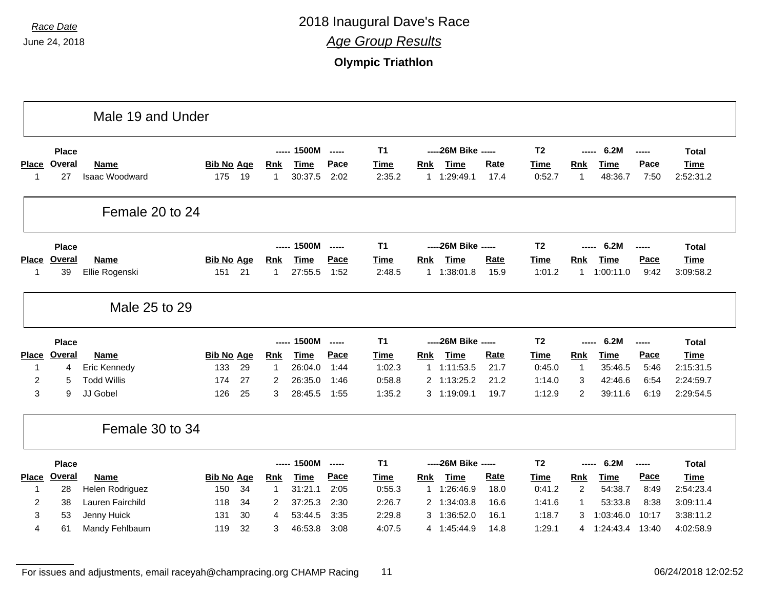|              |               | Male 19 and Under             |                   |          |              |                    |                          |                  |                            |                      |              |                  |                |                          |                |                        |
|--------------|---------------|-------------------------------|-------------------|----------|--------------|--------------------|--------------------------|------------------|----------------------------|----------------------|--------------|------------------|----------------|--------------------------|----------------|------------------------|
|              | <b>Place</b>  |                               |                   |          | -----        | 1500M              | -----                    | <b>T1</b>        |                            | ----26M Bike -----   |              | T <sub>2</sub>   | -----          | 6.2M                     | -----          | Total                  |
|              | Place Overal  | <b>Name</b>                   | <b>Bib No Age</b> |          | <u>Rnk</u>   | <b>Time</b>        | Pace                     | <b>Time</b>      | <b>Rnk</b>                 | <b>Time</b>          | <b>Rate</b>  | <b>Time</b>      | <b>Rnk</b>     | <b>Time</b>              | Pace           | <b>Time</b>            |
| 1            | 27            | Isaac Woodward                | 175               | 19       | $\mathbf{1}$ | 30:37.5            | 2:02                     | 2:35.2           | 1                          | 1:29:49.1            | 17.4         | 0:52.7           | $\overline{1}$ | 48:36.7                  | 7:50           | 2:52:31.2              |
|              |               | Female 20 to 24               |                   |          |              |                    |                          |                  |                            |                      |              |                  |                |                          |                |                        |
|              | <b>Place</b>  |                               |                   |          | ------       | 1500M              | $\overline{\phantom{a}}$ | <b>T1</b>        |                            | ----- 26M Bike ----- |              | T <sub>2</sub>   |                | 6.2M                     | ------         | <b>Total</b>           |
| <b>Place</b> | Overal        | <b>Name</b>                   | <b>Bib No Age</b> |          | <b>Rnk</b>   | <b>Time</b>        | Pace                     | <b>Time</b>      | <b>Rnk</b>                 | <b>Time</b>          | <b>Rate</b>  | <b>Time</b>      | Rnk            | <b>Time</b>              | Pace           | <b>Time</b>            |
| $\mathbf 1$  | 39            | Ellie Rogenski                | 151               | 21       | 1            | 27:55.5            | 1:52                     | 2:48.5           | 1                          | 1:38:01.8            | 15.9         | 1:01.2           | $\mathbf{1}$   | 1:00:11.0                | 9:42           | 3:09:58.2              |
|              |               | Male 25 to 29                 |                   |          |              |                    |                          |                  |                            |                      |              |                  |                |                          |                |                        |
|              |               |                               |                   |          |              |                    |                          |                  |                            |                      |              |                  |                |                          |                |                        |
|              | <b>Place</b>  |                               |                   |          | -----        | 1500M              |                          | <b>T1</b>        |                            | ----26M Bike -----   |              | T <sub>2</sub>   |                | 6.2M                     | -----          | <b>Total</b>           |
|              | Place Overal  | <b>Name</b>                   | <b>Bib No Age</b> |          | <b>Rnk</b>   | <b>Time</b>        | Pace                     | <b>Time</b>      | <b>Rnk</b>                 | <b>Time</b>          | <b>Rate</b>  | <b>Time</b>      | <b>Rnk</b>     | <b>Time</b>              | Pace           | <b>Time</b>            |
| 1            | 4             | Eric Kennedy                  | 133               | 29       | 1            | 26:04.0            | 1:44                     | 1:02.3           | $\mathbf{1}$               | 1:11:53.5            | 21.7         | 0:45.0           | $\overline{1}$ | 35:46.5                  | 5:46           | 2:15:31.5              |
| 2            | 5             | <b>Todd Willis</b>            | 174               | 27       | 2            | 26:35.0            | 1:46                     | 0:58.8           | 2 1:13:25.2                |                      | 21.2         | 1:14.0           | 3              | 42:46.6                  | 6:54           | 2:24:59.7              |
| 3            | 9             | JJ Gobel                      | 126               | 25       | 3            | 28:45.5            | 1:55                     | 1:35.2           | 3 1:19:09.1                |                      | 19.7         | 1:12.9           | 2              | 39:11.6                  | 6:19           | 2:29:54.5              |
|              |               | Female 30 to 34               |                   |          |              |                    |                          |                  |                            |                      |              |                  |                |                          |                |                        |
|              | <b>Place</b>  |                               |                   |          | -----        | 1500M              | $- - - - -$              | <b>T1</b>        |                            | ----26M Bike -----   |              | T <sub>2</sub>   | -----          | 6.2M                     | -----          | <b>Total</b>           |
| <b>Place</b> | <b>Overal</b> | <b>Name</b>                   | <b>Bib No Age</b> |          | <b>Rnk</b>   | <b>Time</b>        | Pace                     | <b>Time</b>      | <b>Rnk</b>                 | <b>Time</b>          | Rate         | <b>Time</b>      | Rnk            | <b>Time</b>              | Pace           | <b>Time</b>            |
| 1            | 28            | Helen Rodriguez               | 150               | 34       | 1            | 31:21.1            | 2:05                     | 0:55.3           | 1 1:26:46.9                |                      | 18.0         | 0:41.2           | $\overline{2}$ | 54:38.7                  | 8:49           | 2:54:23.4              |
| 2            | 38            | Lauren Fairchild              | 118               | 34       | 2            | 37:25.3            | 2:30                     | 2:26.7           | 2 1:34:03.8                |                      | 16.6         | 1:41.6           | -1             | 53:33.8                  | 8:38           | 3:09:11.4              |
| 3<br>4       | 53<br>61      | Jenny Huick<br>Mandy Fehlbaum | 131<br>119        | 30<br>32 | 4<br>3       | 53:44.5<br>46:53.8 | 3:35<br>3:08             | 2:29.8<br>4:07.5 | 3 1:36:52.0<br>4 1:45:44.9 |                      | 16.1<br>14.8 | 1:18.7<br>1:29.1 | 3              | 1:03:46.0<br>4 1:24:43.4 | 10:17<br>13:40 | 3:38:11.2<br>4:02:58.9 |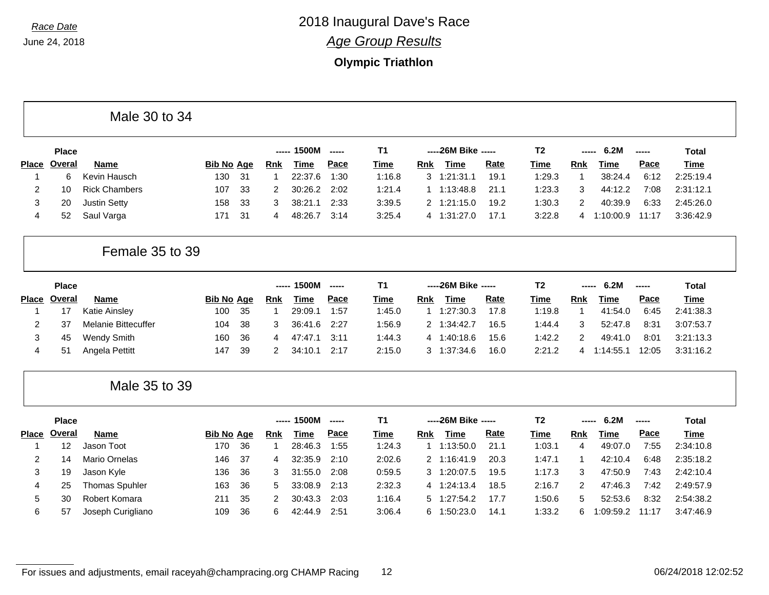## **Olympic Triathlon**

| Male 30 to 34 |  |  |  |
|---------------|--|--|--|
|---------------|--|--|--|

|              | <b>Place</b> |                      |                   |      |     | ----- 1500M | $- - - - -$ | Τ1          |     | -----26M Bike ----- |             | T2          | -----      | 6.2M      | $\begin{array}{ccc} \textbf{---} & \textbf{---} & \textbf{---} \end{array}$ | Total       |
|--------------|--------------|----------------------|-------------------|------|-----|-------------|-------------|-------------|-----|---------------------|-------------|-------------|------------|-----------|-----------------------------------------------------------------------------|-------------|
| <b>Place</b> | Overal       | Name                 | <b>Bib No Age</b> |      | Rnk | Time        | Pace        | <u>Time</u> | Rnk | Time                | <u>Rate</u> | <u>Time</u> | <b>Rnk</b> | Time      | Pace                                                                        | <u>Time</u> |
|              |              | Kevin Hausch         | 130               | - 31 |     | 22:37.6     | 1:30        | 1:16.8      | 3   | 1:21:31.1           | 19.1        | 1:29.3      |            | 38:24.4   | 6:12                                                                        | 2:25:19.4   |
|              | 10           | <b>Rick Chambers</b> | 107               | - 33 |     | 30:26.2     | 2:02        | 1:21.4      |     | 1:13:48.8           | 21.1        | 1:23.3      | 3          | 44:12.2   | 7:08                                                                        | 2:31:12.1   |
|              | 20           | <b>Justin Setty</b>  | 158               | - 33 | 3   | 38:21.1     | 2:33        | 3:39.5      |     | 1:21:15.0           | 19.2        | 1:30.3      |            | 40:39.9   | 6:33                                                                        | 2:45:26.0   |
| 4            | 52           | Saul Varga           | 171               | - 31 |     | 48:26.7     | 3:14        | 3:25.4      |     | 1:31:27.0           | 17.1        | 3:22.8      |            | 1:10:00.9 | 11:17                                                                       | 3:36:42.9   |

### Female 35 to 39

|              | <b>Place</b> |                     |                   |     | ----- | 1500M       | $- - - - -$ | Τ1     |     | -----26M Bike ----- |             | T2          | ------     | 6.2M      | $\frac{1}{2}$   | Total       |
|--------------|--------------|---------------------|-------------------|-----|-------|-------------|-------------|--------|-----|---------------------|-------------|-------------|------------|-----------|-----------------|-------------|
| <b>Place</b> | Overal       | Name                | <b>Bib No Age</b> |     | Rnk   | <b>Time</b> | <u>Pace</u> | Time   | Rnk | Time                | <b>Rate</b> | <u>Time</u> | <b>Rnk</b> | Time      | Pace            | <u>Time</u> |
|              |              | Katie Ainsley       | 100               | -35 |       | 29:09.1     | 1:57        | 1:45.0 |     | 1:27:30.3           | 17.8        | 1:19.8      |            | 41:54.0   | 6:45            | 2:41:38.3   |
|              |              | Melanie Bittecuffer | 104               | -38 |       | 36:41.6     | 2:27        | 1:56.9 |     | 1:34:42.7           | 16.5        | 1:44.4      |            | 52:47.8   | 8:31            | 3:07:53.7   |
|              | 45           | Wendy Smith         | 160               | 36  | 4     | 47:47.1     | 3:11        | 1:44.3 | 4   | 1:40:18.6           | 15.6        | 1:42.2      |            | 49:41.0   | $8:0^{\degree}$ | 3:21:13.3   |
|              | 51           | Angela Pettitt      | 147               | 39  |       | 34:10.1     | 2:17        | 2:15.0 |     | 1:37:34.6           | 16.0        | 2:21.2      | 4          | l:14:55.1 | 12:05           | 3:31:16.2   |

#### Male 35 to 39

|              | <b>Place</b> |                       |            |     |     | 1500M<br>$\frac{1}{2}$ |       | T1     |     | -----26M Bike ----- |      | Т2     | -----      | 6.2M        | ----- | Total       |
|--------------|--------------|-----------------------|------------|-----|-----|------------------------|-------|--------|-----|---------------------|------|--------|------------|-------------|-------|-------------|
| <b>Place</b> | Overal       | <b>Name</b>           | Bib No Age |     | Rnk | Time                   | Pace  | Time   | Rnk | Time                | Rate | Time   | <b>Rnk</b> | <b>Time</b> | Pace  | <b>Time</b> |
|              |              | Jason Toot            | 170        | 36  |     | 28:46.3                | 1:55  | 1:24.3 |     | 1:13:50.0           | 21.1 | 1:03.1 | 4          | 49:07.0     | 7:55  | 2:34:10.8   |
| 2            | 14           | Mario Ornelas         | 146        | -37 | 4   | 32:35.9                | 2:10  | 2:02.6 |     | 2 1:16:41.9         | 20.3 | 1:47.1 |            | 42:10.4     | 6:48  | 2:35:18.2   |
| 3            | 19           | Jason Kyle            | 136        | 36  | 3   | 31:55.0                | 2:08  | 0:59.5 | 3   | 1:20:07.5           | 19.5 | 1:17.3 | 3          | 47:50.9     | 7:43  | 2:42:10.4   |
| 4            | 25           | <b>Thomas Spuhler</b> | 163        | -36 | 5.  | 33:08.9                | -2:13 | 2:32.3 |     | 1:24:13.4           | 18.5 | 2:16.7 | 2          | 47:46.3     | 7:42  | 2:49:57.9   |
| 5            | 30           | Robert Komara         | 211        | -35 |     | 30:43.3                | 2:03  | 1:16.4 |     | 5 1:27:54.2         | 17.7 | 1:50.6 | 5.         | 52:53.6     | 8:32  | 2:54:38.2   |
| 6            | 57           | Joseph Curigliano     | 109        | 36  | 6   | 42:44.9                | 2:51  | 3:06.4 |     | 6 1:50:23.0         | 14.1 | 1:33.2 | 6          | :09:59.2    | 11:17 | 3:47:46.9   |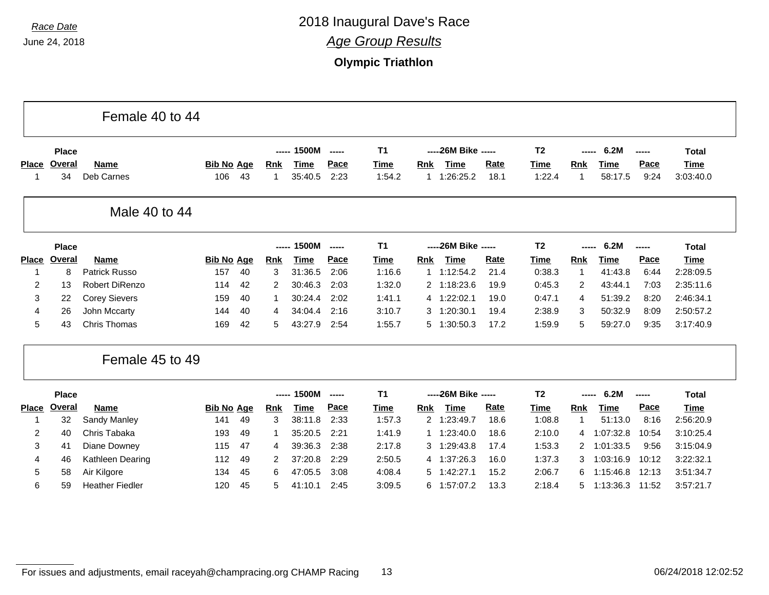|                   |              | Female 40 to 44           |                          |    |                 |                 |              |                |                            |                         |              |                |                 |                 |              |                          |
|-------------------|--------------|---------------------------|--------------------------|----|-----------------|-----------------|--------------|----------------|----------------------------|-------------------------|--------------|----------------|-----------------|-----------------|--------------|--------------------------|
|                   | <b>Place</b> |                           |                          |    | -----           | 1500M           | -----        | T <sub>1</sub> |                            | ----- 26M Bike -----    |              | T <sub>2</sub> | -----           | 6.2M            | -----        | <b>Total</b>             |
| <b>Place</b><br>1 | Overal<br>34 | <b>Name</b><br>Deb Carnes | <b>Bib No Age</b><br>106 | 43 | <b>Rnk</b><br>1 | Time<br>35:40.5 | Pace<br>2:23 | Time<br>1:54.2 | <b>Rnk</b><br>$\mathbf{1}$ | <b>Time</b><br>:26:25.2 | Rate<br>18.1 | Time<br>1:22.4 | <b>Rnk</b><br>1 | Time<br>58:17.5 | Pace<br>9:24 | <b>Time</b><br>3:03:40.0 |
|                   |              | Male 40 to 44             |                          |    |                 |                 |              |                |                            |                         |              |                |                 |                 |              |                          |
|                   | <b>Place</b> |                           |                          |    | -----           | 1500M           | -----        | <b>T1</b>      |                            | ----26M Bike -----      |              | T <sub>2</sub> |                 | 6.2M            | -----        | <b>Total</b>             |
| <b>Place</b>      | Overal       | <b>Name</b>               | <b>Bib No Age</b>        |    | <b>Rnk</b>      | <b>Time</b>     | Pace         | Time           | Rnk                        | <b>Time</b>             | Rate         | Time           | Rnk             | <b>Time</b>     | Pace         | <b>Time</b>              |
| 1                 | 8            | Patrick Russo             | 157                      | 40 | 3               | 31:36.5         | 2:06         | 1:16.6         | 1                          | 1:12:54.2               | 21.4         | 0:38.3         | 1               | 41:43.8         | 6:44         | 2:28:09.5                |
| 2                 | 13           | <b>Robert DiRenzo</b>     | 114                      | 42 | 2               | 30:46.3         | 2:03         | 1:32.0         |                            | 2 1:18:23.6             | 19.9         | 0:45.3         | 2               | 43:44.1         | 7:03         | 2:35:11.6                |
| 3                 | 22           | <b>Corey Sievers</b>      | 159                      | 40 |                 | 30:24.4         | 2:02         | 1:41.1         |                            | 4 1:22:02.1             | 19.0         | 0:47.1         | 4               | 51:39.2         | 8:20         | 2:46:34.1                |
| 4                 | 26           | John Mccarty              | 144                      | 40 | 4               | 34:04.4         | 2:16         | 3:10.7         | 3                          | 1:20:30.1               | 19.4         | 2:38.9         | 3               | 50:32.9         | 8:09         | 2:50:57.2                |
| 5                 | 43           | <b>Chris Thomas</b>       | 169                      | 42 | 5               | 43:27.9         | 2:54         | 1:55.7         | 5                          | 1:30:50.3               | 17.2         | 1:59.9         | 5               | 59:27.0         | 9:35         | 3:17:40.9                |
|                   |              | Female 45 to 49           |                          |    |                 |                 |              |                |                            |                         |              |                |                 |                 |              |                          |
|                   | <b>Place</b> |                           |                          |    | -----           | 1500M           | -----        | T <sub>1</sub> |                            | ----- 26M Bike -----    |              | T <sub>2</sub> |                 | 6.2M            | -----        | <b>Total</b>             |
| <b>Place</b>      | Overal       | <b>Name</b>               | <b>Bib No Age</b>        |    | <b>Rnk</b>      | <b>Time</b>     | Pace         | Time           | <b>Rnk</b>                 | <b>Time</b>             | <b>Rate</b>  | <b>Time</b>    | Rnk             | <b>Time</b>     | Pace         | <b>Time</b>              |
| 1                 | 32           | Sandy Manley              | 141                      | 49 | 3               | 38:11.8         | 2:33         | 1:57.3         | $\overline{2}$             | 1:23:49.7               | 18.6         | 1:08.8         | -1              | 51:13.0         | 8:16         | 2:56:20.9                |
| 2                 | 40           | Chris Tabaka              | 193                      | 49 |                 | 35:20.5         | 2:21         | 1:41.9         |                            | 1:23:40.0               | 18.6         | 2:10.0         | 4               | 1:07:32.8       | 10:54        | 3:10:25.4                |
| 3                 | 41           | Diane Downey              | 115                      | 47 | 4               | 39:36.3         | 2:38         | 2:17.8         | 3                          | 1:29:43.8               | 17.4         | 1:53.3         | $\mathbf{2}$    | 1:01:33.5       | 9:56         | 3:15:04.9                |
| 4                 | 46           | Kathleen Dearing          | 112                      | 49 | 2               | 37:20.8         | 2:29         | 2:50.5         | 4                          | 1:37:26.3               | 16.0         | 1:37.3         | 3               | 1:03:16.9       | 10:12        | 3:22:32.1                |
| 5                 | 58           | Air Kilgore               | 134                      | 45 | 6               | 47:05.5         | 3:08         | 4:08.4         | 5                          | 1:42:27.1               | 15.2         | 2:06.7         | 6               | 1:15:46.8       | 12:13        | 3:51:34.7                |
| 6                 | 59           | <b>Heather Fiedler</b>    | 120                      | 45 | 5               | 41:10.1         | 2:45         | 3:09.5         |                            | 6 1:57:07.2             | 13.3         | 2:18.4         | 5               | 1:13:36.3       | 11:52        | 3:57:21.7                |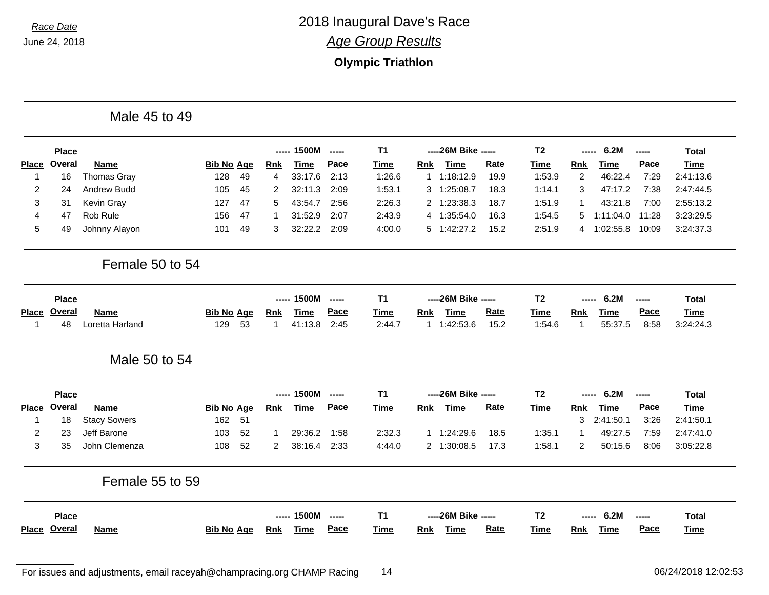|                |               | Male 45 to 49       |                   |    |                |             |                |                |            |                      |             |                |                |             |               |              |
|----------------|---------------|---------------------|-------------------|----|----------------|-------------|----------------|----------------|------------|----------------------|-------------|----------------|----------------|-------------|---------------|--------------|
|                | <b>Place</b>  |                     |                   |    |                | ----- 1500M | $\overline{a}$ | T <sub>1</sub> |            | ----- 26M Bike ----- |             | T <sub>2</sub> | $--- - -$      | 6.2M        | $\frac{1}{2}$ | <b>Total</b> |
| <b>Place</b>   | Overal        | Name                | <b>Bib No Age</b> |    | <b>Rnk</b>     | <b>Time</b> | Pace           | <b>Time</b>    | <b>Rnk</b> | <b>Time</b>          | Rate        | <b>Time</b>    | Rnk            | <b>Time</b> | Pace          | <b>Time</b>  |
| $\mathbf 1$    | 16            | <b>Thomas Gray</b>  | 128               | 49 | 4              | 33:17.6     | 2:13           | 1:26.6         |            | 1 1:18:12.9          | 19.9        | 1:53.9         | 2              | 46:22.4     | 7:29          | 2:41:13.6    |
| $\overline{2}$ | 24            | Andrew Budd         | 105               | 45 | 2              | 32:11.3     | 2:09           | 1:53.1         | 3          | 1:25:08.7            | 18.3        | 1:14.1         | 3              | 47:17.2     | 7:38          | 2:47:44.5    |
| 3              | 31            | Kevin Gray          | 127               | 47 | 5              | 43:54.7     | 2:56           | 2:26.3         | 2          | 1:23:38.3            | 18.7        | 1:51.9         | $\mathbf 1$    | 43:21.8     | 7:00          | 2:55:13.2    |
| 4              | 47            | Rob Rule            | 156               | 47 | -1             | 31:52.9     | 2:07           | 2:43.9         |            | 4 1:35:54.0          | 16.3        | 1:54.5         | 5              | 1:11:04.0   | 11:28         | 3:23:29.5    |
| 5              | 49            | Johnny Alayon       | 101               | 49 | 3              | 32:22.2     | 2:09           | 4:00.0         |            | 5 1:42:27.2          | 15.2        | 2:51.9         | 4              | 1:02:55.8   | 10:09         | 3:24:37.3    |
|                |               | Female 50 to 54     |                   |    |                |             |                |                |            |                      |             |                |                |             |               |              |
|                | <b>Place</b>  |                     |                   |    |                | ----- 1500M | -----          | <b>T1</b>      |            | ----26M Bike -----   |             | T <sub>2</sub> | $---$          | 6.2M        | -----         | <b>Total</b> |
| <b>Place</b>   | <b>Overal</b> | <b>Name</b>         | <b>Bib No Age</b> |    | <b>Rnk</b>     | <b>Time</b> | Pace           | <b>Time</b>    | Rnk        | <b>Time</b>          | <b>Rate</b> | <b>Time</b>    | Rnk            | Time        | Pace          | <b>Time</b>  |
| $\mathbf{1}$   | 48            | Loretta Harland     | 129               | 53 | $\mathbf{1}$   | 41:13.8     | 2:45           | 2:44.7         |            | 1 1:42:53.6          | 15.2        | 1:54.6         | $\mathbf{1}$   | 55:37.5     | 8:58          | 3:24:24.3    |
|                |               | Male 50 to 54       |                   |    |                |             |                |                |            |                      |             |                |                |             |               |              |
|                | <b>Place</b>  |                     |                   |    |                | ----- 1500M | ------         | <b>T1</b>      |            | ----- 26M Bike ----- |             | T <sub>2</sub> | -----          | 6.2M        | -----         | <b>Total</b> |
| <b>Place</b>   | Overal        | <b>Name</b>         | <b>Bib No Age</b> |    | <b>Rnk</b>     | <b>Time</b> | Pace           | <b>Time</b>    | <u>Rnk</u> | <b>Time</b>          | <b>Rate</b> | <b>Time</b>    | Rnk            | <b>Time</b> | Pace          | <b>Time</b>  |
| $\mathbf{1}$   | 18            | <b>Stacy Sowers</b> | 162               | 51 |                |             |                |                |            |                      |             |                | 3              | 2:41:50.1   | 3:26          | 2:41:50.1    |
| 2              | 23            | Jeff Barone         | 103               | 52 | 1              | 29:36.2     | 1:58           | 2:32.3         |            | 1 1:24:29.6          | 18.5        | 1:35.1         | $\mathbf{1}$   | 49:27.5     | 7:59          | 2:47:41.0    |
| 3              | 35            | John Clemenza       | 108               | 52 | $\overline{2}$ | 38:16.4     | 2:33           | 4:44.0         |            | 2 1:30:08.5          | 17.3        | 1:58.1         | $\overline{2}$ | 50:15.6     | 8:06          | 3:05:22.8    |
|                |               | Female 55 to 59     |                   |    |                |             |                |                |            |                      |             |                |                |             |               |              |
|                | <b>Place</b>  |                     |                   |    |                | ----- 1500M | -----          | T <sub>1</sub> |            | ----26M Bike -----   |             | <b>T2</b>      |                | 6.2M        |               | <b>Total</b> |
|                | Place Overal  | <b>Name</b>         | <b>Bib No Age</b> |    | Rnk            | <b>Time</b> | Pace           | <b>Time</b>    | Rnk        | <b>Time</b>          | <b>Rate</b> | Time           | <b>Rnk</b>     | <b>Time</b> | Pace          | Time         |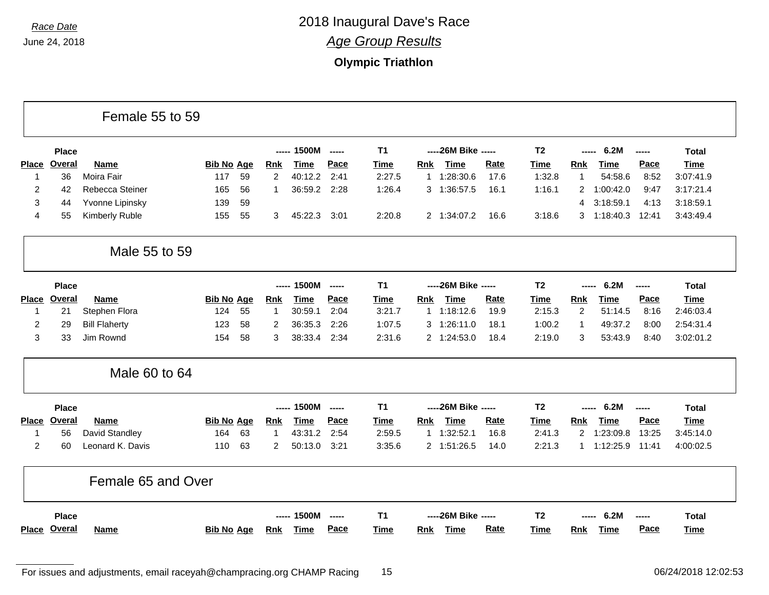Г

## *Race Date* 2018 Inaugural Dave's Race *Age Group Results*

### **Olympic Triathlon**

|                |               | Female 55 to 59      |                   |    |                |             |                          |             |            |                      |             |                |                       |             |             |              |
|----------------|---------------|----------------------|-------------------|----|----------------|-------------|--------------------------|-------------|------------|----------------------|-------------|----------------|-----------------------|-------------|-------------|--------------|
|                | <b>Place</b>  |                      |                   |    |                | ----- 1500M | $\overline{\phantom{a}}$ | <b>T1</b>   |            | ----26M Bike -----   |             | T <sub>2</sub> | -----                 | 6.2M        | $- - - - -$ | <b>Total</b> |
| <b>Place</b>   | Overal        | Name                 | <b>Bib No Age</b> |    | <b>Rnk</b>     | <b>Time</b> | Pace                     | <b>Time</b> | Rnk        | <b>Time</b>          | <b>Rate</b> | <b>Time</b>    | <b>Rnk</b>            | Time        | Pace        | <b>Time</b>  |
| $\mathbf{1}$   | 36            | Moira Fair           | 117               | 59 | $\overline{2}$ | 40:12.2     | 2:41                     | 2:27.5      |            | 1 1:28:30.6          | 17.6        | 1:32.8         | $\mathbf{1}$          | 54:58.6     | 8:52        | 3:07:41.9    |
| $\overline{2}$ | 42            | Rebecca Steiner      | 165               | 56 | 1              | 36:59.2     | 2:28                     | 1:26.4      |            | 3 1:36:57.5          | 16.1        | 1:16.1         | $\mathbf{2}^{\prime}$ | 1:00:42.0   | 9:47        | 3:17:21.4    |
| 3              | 44            | Yvonne Lipinsky      | 139               | 59 |                |             |                          |             |            |                      |             |                | 4                     | 3:18:59.1   | 4:13        | 3:18:59.1    |
| 4              | 55            | Kimberly Ruble       | 155               | 55 | 3              | 45:22.3     | 3:01                     | 2:20.8      |            | 2 1:34:07.2          | 16.6        | 3:18.6         | 3                     | 1:18:40.3   | 12:41       | 3:43:49.4    |
|                |               | Male 55 to 59        |                   |    |                |             |                          |             |            |                      |             |                |                       |             |             |              |
|                | <b>Place</b>  |                      |                   |    | -----          | 1500M       | $\frac{1}{2}$            | <b>T1</b>   |            | ----26M Bike -----   |             | T <sub>2</sub> | $\frac{1}{2}$         | 6.2M        | $- - - - -$ | <b>Total</b> |
| <b>Place</b>   | <b>Overal</b> | <b>Name</b>          | <b>Bib No Age</b> |    | <b>Rnk</b>     | <b>Time</b> | <b>Pace</b>              | <b>Time</b> | <b>Rnk</b> | <b>Time</b>          | <b>Rate</b> | <b>Time</b>    | <b>Rnk</b>            | <b>Time</b> | Pace        | Time         |
| $\mathbf{1}$   | 21            | Stephen Flora        | 124               | 55 | 1              | 30:59.1     | 2:04                     | 3:21.7      |            | 1 1:18:12.6          | 19.9        | 2:15.3         | $\overline{c}$        | 51:14.5     | 8:16        | 2:46:03.4    |
| 2              | 29            | <b>Bill Flaherty</b> | 123               | 58 | 2              | 36:35.3     | 2:26                     | 1:07.5      | 3          | 1:26:11.0            | 18.1        | 1:00.2         | $\mathbf{1}$          | 49:37.2     | 8:00        | 2:54:31.4    |
| 3              | 33            | Jim Rownd            | 154               | 58 | 3              | 38:33.4     | 2:34                     | 2:31.6      |            | 2 1:24:53.0          | 18.4        | 2:19.0         | 3                     | 53:43.9     | 8:40        | 3:02:01.2    |
|                |               | Male 60 to 64        |                   |    |                |             |                          |             |            |                      |             |                |                       |             |             |              |
|                | <b>Place</b>  |                      |                   |    |                | 1500M       | $---$                    | <b>T1</b>   |            | ----- 26M Bike ----- |             | T <sub>2</sub> |                       | 6.2M        | -----       | <b>Total</b> |
| <b>Place</b>   | <b>Overal</b> | Name                 | <b>Bib No Age</b> |    | <b>Rnk</b>     | <b>Time</b> | Pace                     | <b>Time</b> | Rnk        | <b>Time</b>          | <b>Rate</b> | <b>Time</b>    | Rnk                   | <b>Time</b> | Pace        | <b>Time</b>  |
| $\mathbf 1$    | 56            | David Standley       | 164               | 63 | 1              | 43:31.2     | 2:54                     | 2:59.5      |            | 1 1:32:52.1          | 16.8        | 2:41.3         | $\overline{2}$        | 1:23:09.8   | 13:25       | 3:45:14.0    |
| $\overline{2}$ | 60            | Leonard K. Davis     | 110               | 63 | $\overline{2}$ | 50:13.0     | 3:21                     | 3:35.6      |            | 2 1:51:26.5          | 14.0        | 2:21.3         | 1                     | 1:12:25.9   | 11:41       | 4:00:02.5    |
|                |               | Female 65 and Over   |                   |    |                |             |                          |             |            |                      |             |                |                       |             |             |              |
|                | <b>Place</b>  |                      |                   |    | $\frac{1}{2}$  | 1500M       | $\frac{1}{2}$            | <b>T1</b>   |            | ----26M Bike -----   |             | T <sub>2</sub> |                       | 6.2M        | ------      | <b>Total</b> |
|                | Place Overal  | <b>Name</b>          | <b>Bib No Age</b> |    | <b>Rnk</b>     | <b>Time</b> | Pace                     | Time        | <b>Rnk</b> | Time                 | <b>Rate</b> | <b>Time</b>    | <b>Rnk</b>            | <b>Time</b> | Pace        | Time         |

п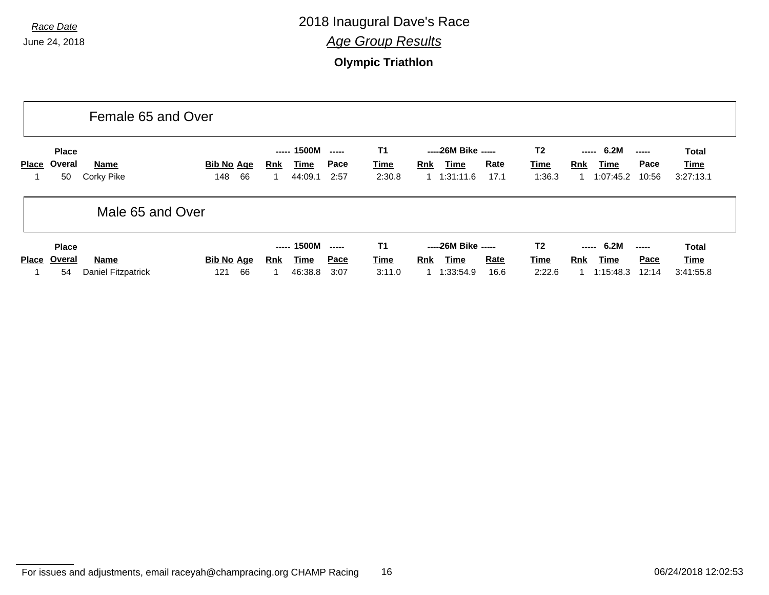|              |                              | Female 65 and Over        |                                |                                                     |                               |                             |                                                                        |                                  |                                                                   |                            |
|--------------|------------------------------|---------------------------|--------------------------------|-----------------------------------------------------|-------------------------------|-----------------------------|------------------------------------------------------------------------|----------------------------------|-------------------------------------------------------------------|----------------------------|
| Place        | <b>Place</b><br>Overal<br>50 | Name<br>Corky Pike        | <b>Bib No Age</b><br>148<br>66 | ----- 1500M<br><b>Time</b><br><u>Rnk</u><br>44:09.1 | $\frac{1}{2}$<br>Pace<br>2:57 | T1<br><u>Time</u><br>2:30.8 | -----26M Bike -----<br><b>Rate</b><br>Rnk<br>Time<br>1.31:11.6<br>17.1 | T <sub>2</sub><br>Time<br>1:36.3 | 6.2M<br>-----<br><u>Pace</u><br>Time<br>Rnk<br>1:07:45.2<br>10:56 | Total<br>Time<br>3:27:13.1 |
|              |                              | Male 65 and Over          |                                |                                                     |                               |                             |                                                                        |                                  |                                                                   |                            |
|              | <b>Place</b>                 |                           |                                | ----- 1500M                                         | $\frac{1}{2}$                 | T1                          | -----26M Bike -----                                                    | T <sub>2</sub>                   | $--- 6.2M$<br>$\sim$ - $\sim$ - $\sim$                            | <b>Total</b>               |
| <b>Place</b> | Overal                       | <b>Name</b>               | <b>Bib No Age</b>              | <u>Time</u><br><b>Rnk</b>                           | <u>Pace</u>                   | <u>Time</u>                 | <b>Rate</b><br><b>Rnk</b><br>Time                                      | Time                             | <b>Pace</b><br><b>Rnk</b><br><b>Time</b>                          | Time                       |
|              | 54                           | <b>Daniel Fitzpatrick</b> | 66<br>121                      | 46:38.8                                             | 3:07                          | 3:11.0                      | 1:33:54.9<br>16.6                                                      | 2:22.6                           | 1:15:48.3<br>12:14                                                | 3:41:55.8                  |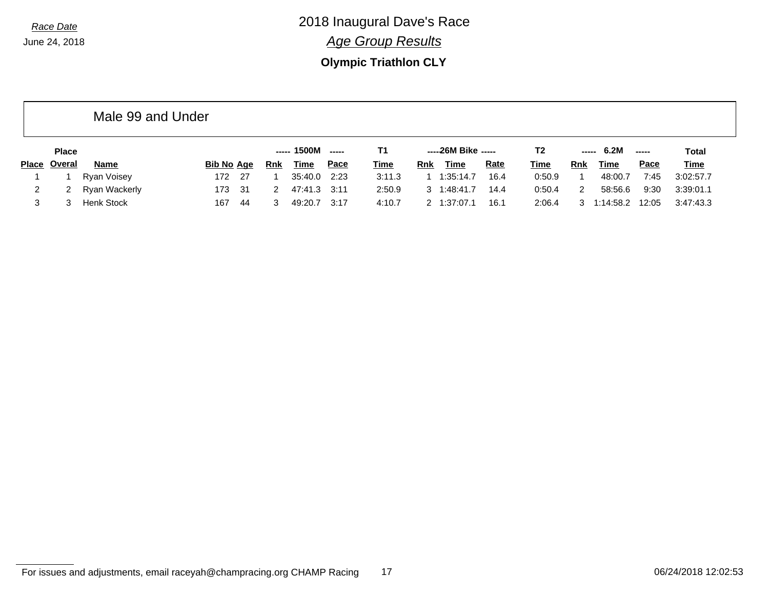Male 99 and Under

# *Race Date* 2018 Inaugural Dave's Race *Age Group Results*

### **Olympic Triathlon CLY**

|              | <b>Place</b>  |                   |                   |     |     | ----- 1500M | ------ |             |     | -----26M Bike ----- |             | T2          | ----- | 6.2M      | $- - - - -$ | <b>Total</b> |
|--------------|---------------|-------------------|-------------------|-----|-----|-------------|--------|-------------|-----|---------------------|-------------|-------------|-------|-----------|-------------|--------------|
| <b>Place</b> | <u>Overal</u> | Name              | <b>Bib No Age</b> |     | Rnk | <b>Time</b> | Pace   | <u>Time</u> | Rnk | Time                | <b>Rate</b> | <u>Time</u> | Rnk   | Time      | <u>Pace</u> | <b>Time</b>  |
|              |               | Ryan Voisey       | 172 27            |     |     | 35:40.0     | 2:23   | 3:11.3      |     | 1:35:14.7           | 16.4        | 0:50.9      |       | 48:00.7   | 7:45        | 3:02:57.7    |
|              | 2             | Ryan Wackerly     | 173 31            |     |     | 47:41.3     | 3:11   | 2:50.9      |     | 1:48:41.7           | 14.4        | 0:50.4      |       | 58:56.6   | 9:30        | 3:39:01.1    |
|              |               | <b>Henk Stock</b> | 167               | -44 |     | 49:20.7     | 3:17   | 4:10.7      |     | 1:37:07.1           | 16.1        | 2:06.4      | 3     | 1:14:58.2 | 12:05       | 3:47:43.3    |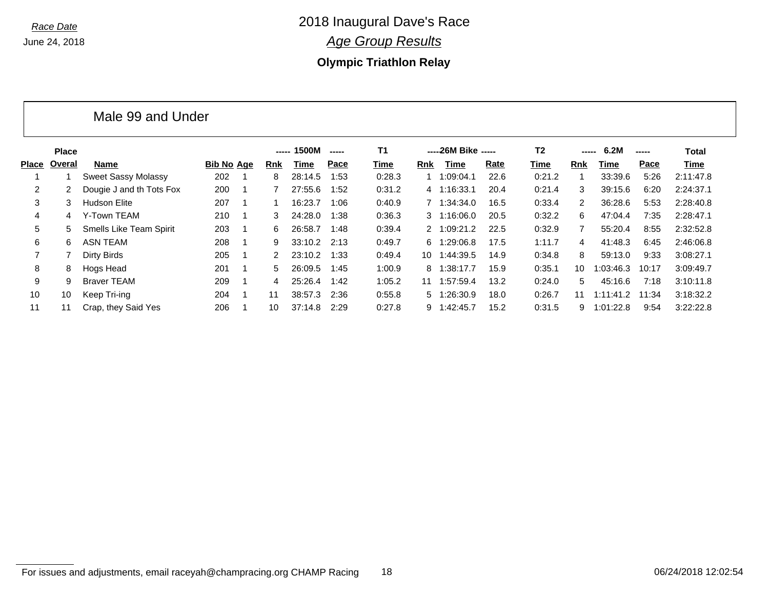Male 99 and Under

*Race Date* 2018 Inaugural Dave's Race *Age Group Results*

**Olympic Triathlon Relay**

|       | <b>Place</b> |                                |                   |                | -----      | 1500M   | $- - - - -$ | <b>T1</b> |     | -----26M Bike ----- |      | T <sub>2</sub> | -----         | 6.2M      | -----       | Total     |
|-------|--------------|--------------------------------|-------------------|----------------|------------|---------|-------------|-----------|-----|---------------------|------|----------------|---------------|-----------|-------------|-----------|
| Place | Overal       | Name                           | <b>Bib No Age</b> |                | <b>Rnk</b> | Time    | Pace        | Time      | Rnk | Time                | Rate | Time           | Rnk           | Time      | <b>Pace</b> | Time      |
|       |              | <b>Sweet Sassy Molassy</b>     | 202               |                | 8          | 28:14.5 | 1:53        | 0:28.3    |     | 1:09:04.1           | 22.6 | 0:21.2         |               | 33:39.6   | 5:26        | 2:11:47.8 |
| 2     |              | Dougie J and th Tots Fox       | 200               |                |            | 27:55.6 | 1:52        | 0:31.2    |     | 4 1:16:33.1         | 20.4 | 0:21.4         | 3             | 39:15.6   | 6:20        | 2:24:37.1 |
| 3     | 3.           | <b>Hudson Elite</b>            | 207               |                |            | 16:23.7 | 1:06        | 0:40.9    |     | 7 1:34:34.0         | 16.5 | 0:33.4         | $\mathcal{P}$ | 36:28.6   | 5:53        | 2:28:40.8 |
| 4     | 4            | Y-Town TEAM                    | 210               | - 1            | 3          | 24:28.0 | 1:38        | 0:36.3    |     | $3 \quad 1:16:06.0$ | 20.5 | 0:32.2         | 6             | 47:04.4   | 7:35        | 2:28:47.1 |
| 5     | 5.           | <b>Smells Like Team Spirit</b> | 203               |                | 6.         | 26:58.7 | 1:48        | 0:39.4    |     | 2 1:09:21.2         | 22.5 | 0:32.9         |               | 55:20.4   | 8:55        | 2:32:52.8 |
| 6     | 6.           | <b>ASN TEAM</b>                | 208               | - 1            | 9          | 33:10.2 | 2:13        | 0:49.7    |     | 6 1:29:06.8         | 17.5 | 1:11.7         | 4             | 41:48.3   | 6:45        | 2:46:06.8 |
|       |              | Dirty Birds                    | 205               |                | 2          | 23:10.2 | 1:33        | 0:49.4    | 10  | 1:44:39.5           | 14.9 | 0:34.8         | 8             | 59:13.0   | 9:33        | 3:08:27.1 |
| 8     | 8            | Hogs Head                      | 201               | - 1            | 5          | 26:09.5 | 1:45        | 1:00.9    | 8.  | 1:38:17.7           | 15.9 | 0:35.1         | 10            | 1:03:46.3 | 10:17       | 3:09:49.7 |
| 9     | 9.           | <b>Braver TEAM</b>             | 209               | $\overline{1}$ | 4          | 25:26.4 | 1:42        | 1:05.2    | 11  | 1:57:59.4           | 13.2 | 0:24.0         | 5             | 45:16.6   | 7:18        | 3:10:11.8 |
| 10    | 10           | Keep Tri-ing                   | 204               | -1             | 11         | 38:57.3 | 2:36        | 0:55.8    |     | 5 1:26:30.9         | 18.0 | 0:26.7         | 11            | 1:11:41.2 | 11:34       | 3:18:32.2 |
| 11    |              | Crap, they Said Yes            | 206               |                | 10         | 37:14.8 | 2:29        | 0:27.8    | 9.  | 1:42:45.7           | 15.2 | 0:31.5         | 9             | 1:01:22.8 | 9:54        | 3:22:22.8 |

#### For issues and adjustments, email raceyah@champracing.org CHAMP Racing 18 06/25 06/24/2018 12:02:54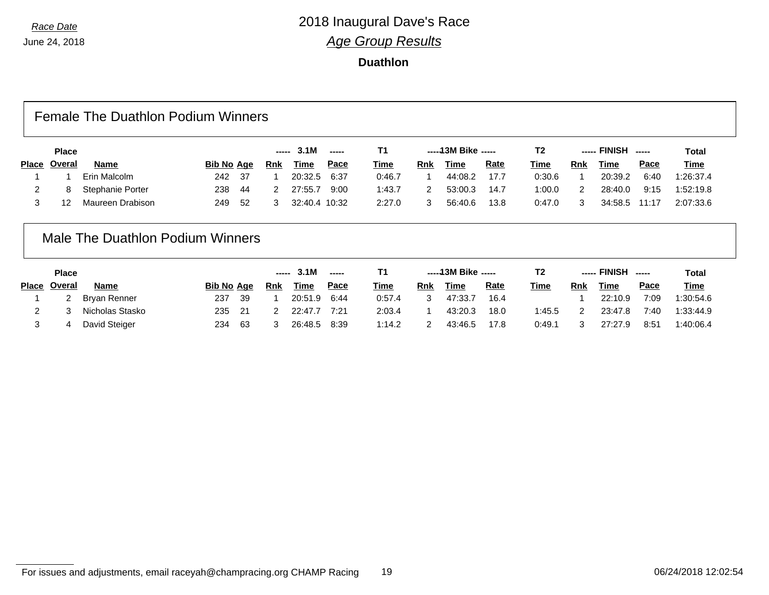**Duathlon**

### Female The Duathlon Podium Winners

| <b>Place</b> |                  |            | $--- 3.1M$<br>----- |     |               | -----43M Bike ----- |             | T2  | <b>FINISH</b><br>------<br>----- |             | <b>Total</b> |     |             |          |             |
|--------------|------------------|------------|---------------------|-----|---------------|---------------------|-------------|-----|----------------------------------|-------------|--------------|-----|-------------|----------|-------------|
| Place Overal | <b>Name</b>      | Bib No Age |                     | Rnk | <u>Time</u>   | <u>Pace</u>         | <u>Time</u> | Rnk | <b>Time</b>                      | <u>Rate</u> | <u>Time</u>  | Rnk | <b>Time</b> | Pace     | <u>Time</u> |
|              | Erin Malcolm     | 242.       | - 37                |     | 20:32.5       | 6:37                | 0:46.7      |     | 44:08.2                          | 17.7        | 0:30.6       |     | 20:39.2     | 6:40     | 1:26:37.4   |
|              | Stephanie Porter | 238        | -44                 |     | 27:55.7       | 9:00                | 1:43.7      |     | 53:00.3                          | 14.7        | 1:00.0       |     | 28:40.0     | 9:15     | 1:52:19.8   |
| 1 O          | Maureen Drabison | 249        | -52                 |     | 32:40.4 10:32 |                     | 2:27.0      |     | 56:40.6                          | 13.8        | 0:47.0       |     | 34:58.5     | $-11:17$ | 2:07:33.6   |

### Male The Duathlon Podium Winners

| <b>Place</b> |                 |                   |     | 3.1M<br>-----<br>----- |             |             |             | -----13M Bike ----- |             |             | T2     | ----- FINISH |         |             | Total       |  |
|--------------|-----------------|-------------------|-----|------------------------|-------------|-------------|-------------|---------------------|-------------|-------------|--------|--------------|---------|-------------|-------------|--|
| Place Overal | <b>Name</b>     | <b>Bib No Age</b> |     | <b>Rnk</b>             | <u>Time</u> | <u>Pace</u> | <b>Time</b> | Rnk                 | <b>Time</b> | <u>Rate</u> | Time   | Rnk          | Time    | <u>Pace</u> | <b>Time</b> |  |
|              | Bryan Renner    | 237               | 39  |                        | 20:51.9     | 6:44        | 0:57.4      |                     | 47:33.7     | 16.4        |        |              | 22:10.9 | 7:09        | 1:30:54.6   |  |
|              | Nicholas Stasko | 235               | 21  |                        | 22:47.7     | 7:21        | 2:03.4      |                     | 43:20.3     | 18.0        | 1:45.5 | 2            | 23:47.8 | 7:40        | 1:33:44.9   |  |
|              | David Steiger   | 234               | -63 |                        | 26:48.5     | 8:39        | 1:14.2      |                     | 43:46.5     | 17.8        | 0:49.1 | 3            | 27:27.9 | 8:51        | 1:40:06.4   |  |